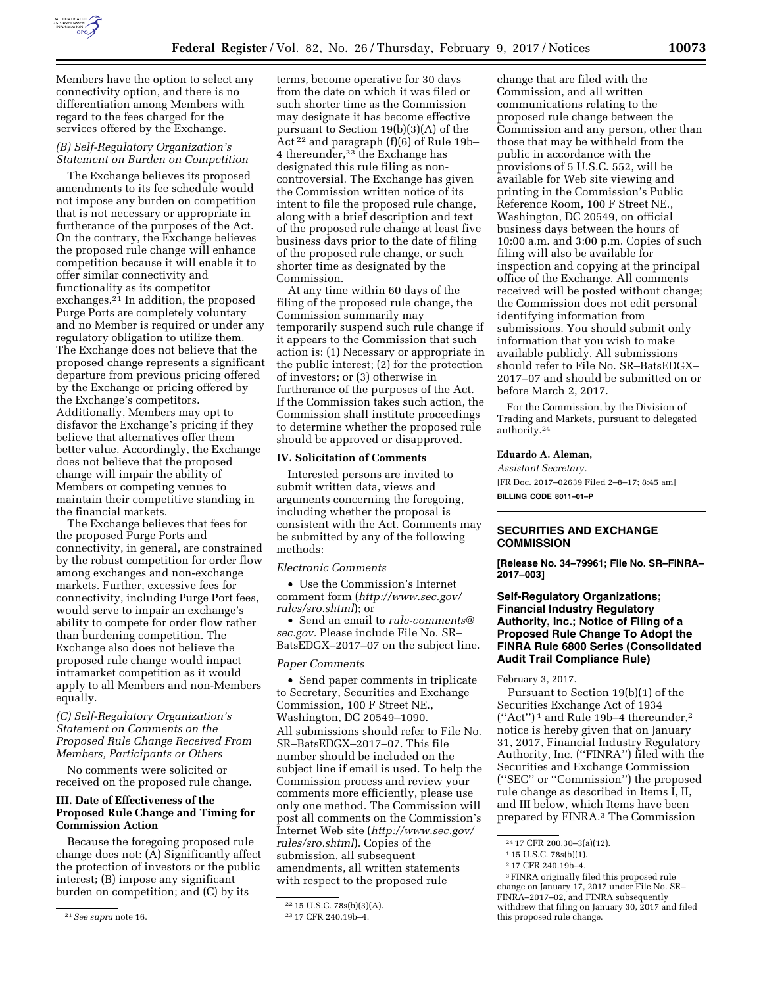

Members have the option to select any connectivity option, and there is no differentiation among Members with regard to the fees charged for the services offered by the Exchange.

### *(B) Self-Regulatory Organization's Statement on Burden on Competition*

The Exchange believes its proposed amendments to its fee schedule would not impose any burden on competition that is not necessary or appropriate in furtherance of the purposes of the Act. On the contrary, the Exchange believes the proposed rule change will enhance competition because it will enable it to offer similar connectivity and functionality as its competitor exchanges.<sup>21</sup> In addition, the proposed Purge Ports are completely voluntary and no Member is required or under any regulatory obligation to utilize them. The Exchange does not believe that the proposed change represents a significant departure from previous pricing offered by the Exchange or pricing offered by the Exchange's competitors. Additionally, Members may opt to disfavor the Exchange's pricing if they believe that alternatives offer them better value. Accordingly, the Exchange does not believe that the proposed change will impair the ability of Members or competing venues to maintain their competitive standing in the financial markets.

The Exchange believes that fees for the proposed Purge Ports and connectivity, in general, are constrained by the robust competition for order flow among exchanges and non-exchange markets. Further, excessive fees for connectivity, including Purge Port fees, would serve to impair an exchange's ability to compete for order flow rather than burdening competition. The Exchange also does not believe the proposed rule change would impact intramarket competition as it would apply to all Members and non-Members equally.

## *(C) Self-Regulatory Organization's Statement on Comments on the Proposed Rule Change Received From Members, Participants or Others*

No comments were solicited or received on the proposed rule change.

## **III. Date of Effectiveness of the Proposed Rule Change and Timing for Commission Action**

Because the foregoing proposed rule change does not: (A) Significantly affect the protection of investors or the public interest; (B) impose any significant burden on competition; and (C) by its

21*See supra* note 16.

terms, become operative for 30 days from the date on which it was filed or such shorter time as the Commission may designate it has become effective pursuant to Section 19(b)(3)(A) of the Act 22 and paragraph (f)(6) of Rule 19b– 4 thereunder,23 the Exchange has designated this rule filing as noncontroversial. The Exchange has given the Commission written notice of its intent to file the proposed rule change, along with a brief description and text of the proposed rule change at least five business days prior to the date of filing of the proposed rule change, or such shorter time as designated by the Commission.

At any time within 60 days of the filing of the proposed rule change, the Commission summarily may temporarily suspend such rule change if it appears to the Commission that such action is: (1) Necessary or appropriate in the public interest; (2) for the protection of investors; or (3) otherwise in furtherance of the purposes of the Act. If the Commission takes such action, the Commission shall institute proceedings to determine whether the proposed rule should be approved or disapproved.

# **IV. Solicitation of Comments**

Interested persons are invited to submit written data, views and arguments concerning the foregoing, including whether the proposal is consistent with the Act. Comments may be submitted by any of the following methods:

#### *Electronic Comments*

• Use the Commission's Internet comment form (*[http://www.sec.gov/](http://www.sec.gov/rules/sro.shtml)  [rules/sro.shtml](http://www.sec.gov/rules/sro.shtml)*); or

• Send an email to *[rule-comments@](mailto:rule-comments@sec.gov) [sec.gov.](mailto:rule-comments@sec.gov)* Please include File No. SR– BatsEDGX–2017–07 on the subject line.

## *Paper Comments*

• Send paper comments in triplicate to Secretary, Securities and Exchange Commission, 100 F Street NE., Washington, DC 20549–1090. All submissions should refer to File No. SR–BatsEDGX–2017–07. This file number should be included on the subject line if email is used. To help the Commission process and review your comments more efficiently, please use only one method. The Commission will post all comments on the Commission's Internet Web site (*[http://www.sec.gov/](http://www.sec.gov/rules/sro.shtml)  [rules/sro.shtml](http://www.sec.gov/rules/sro.shtml)*). Copies of the submission, all subsequent amendments, all written statements with respect to the proposed rule

change that are filed with the Commission, and all written communications relating to the proposed rule change between the Commission and any person, other than those that may be withheld from the public in accordance with the provisions of 5 U.S.C. 552, will be available for Web site viewing and printing in the Commission's Public Reference Room, 100 F Street NE., Washington, DC 20549, on official business days between the hours of 10:00 a.m. and 3:00 p.m. Copies of such filing will also be available for inspection and copying at the principal office of the Exchange. All comments received will be posted without change; the Commission does not edit personal identifying information from submissions. You should submit only information that you wish to make available publicly. All submissions should refer to File No. SR–BatsEDGX– 2017–07 and should be submitted on or before March 2, 2017.

For the Commission, by the Division of Trading and Markets, pursuant to delegated authority.24

### **Eduardo A. Aleman,**

*Assistant Secretary.*  [FR Doc. 2017–02639 Filed 2–8–17; 8:45 am] **BILLING CODE 8011–01–P** 

## **SECURITIES AND EXCHANGE COMMISSION**

**[Release No. 34–79961; File No. SR–FINRA– 2017–003]** 

## **Self-Regulatory Organizations; Financial Industry Regulatory Authority, Inc.; Notice of Filing of a Proposed Rule Change To Adopt the FINRA Rule 6800 Series (Consolidated Audit Trail Compliance Rule)**

February 3, 2017.

Pursuant to Section 19(b)(1) of the Securities Exchange Act of 1934 (''Act'') 1 and Rule 19b–4 thereunder,2 notice is hereby given that on January 31, 2017, Financial Industry Regulatory Authority, Inc. (''FINRA'') filed with the Securities and Exchange Commission (''SEC'' or ''Commission'') the proposed rule change as described in Items I, II, and III below, which Items have been prepared by FINRA.3 The Commission

<sup>22</sup> 15 U.S.C. 78s(b)(3)(A).

<sup>23</sup> 17 CFR 240.19b–4.

<sup>24</sup> 17 CFR 200.30–3(a)(12).

<sup>1</sup> 15 U.S.C. 78s(b)(1).

<sup>2</sup> 17 CFR 240.19b–4.

<sup>3</sup>FINRA originally filed this proposed rule change on January 17, 2017 under File No. SR– FINRA–2017–02, and FINRA subsequently withdrew that filing on January 30, 2017 and filed this proposed rule change.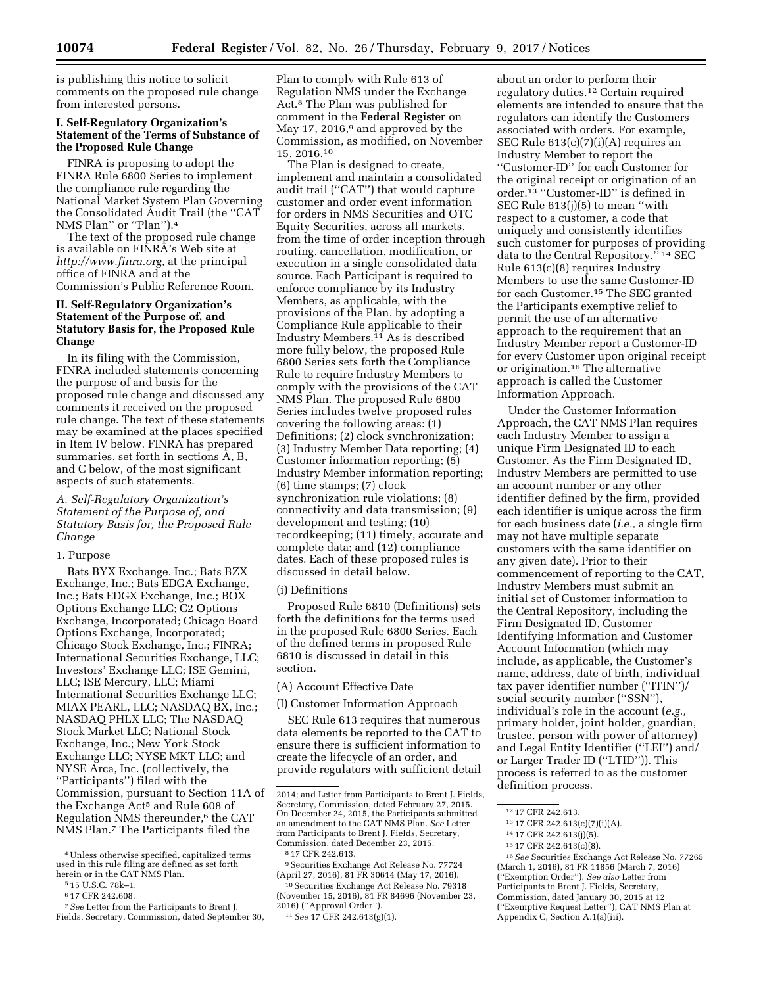is publishing this notice to solicit comments on the proposed rule change from interested persons.

# **I. Self-Regulatory Organization's Statement of the Terms of Substance of the Proposed Rule Change**

FINRA is proposing to adopt the FINRA Rule 6800 Series to implement the compliance rule regarding the National Market System Plan Governing the Consolidated Audit Trail (the ''CAT NMS Plan" or "Plan").<sup>4</sup>

The text of the proposed rule change is available on FINRA's Web site at *[http://www.finra.org,](http://www.finra.org)* at the principal office of FINRA and at the Commission's Public Reference Room.

## **II. Self-Regulatory Organization's Statement of the Purpose of, and Statutory Basis for, the Proposed Rule Change**

In its filing with the Commission, FINRA included statements concerning the purpose of and basis for the proposed rule change and discussed any comments it received on the proposed rule change. The text of these statements may be examined at the places specified in Item IV below. FINRA has prepared summaries, set forth in sections A, B, and C below, of the most significant aspects of such statements.

## *A. Self-Regulatory Organization's Statement of the Purpose of, and Statutory Basis for, the Proposed Rule Change*

### 1. Purpose

Bats BYX Exchange, Inc.; Bats BZX Exchange, Inc.; Bats EDGA Exchange, Inc.; Bats EDGX Exchange, Inc.; BOX Options Exchange LLC; C2 Options Exchange, Incorporated; Chicago Board Options Exchange, Incorporated; Chicago Stock Exchange, Inc.; FINRA; International Securities Exchange, LLC; Investors' Exchange LLC; ISE Gemini, LLC; ISE Mercury, LLC; Miami International Securities Exchange LLC; MIAX PEARL, LLC; NASDAQ BX, Inc.; NASDAQ PHLX LLC; The NASDAQ Stock Market LLC; National Stock Exchange, Inc.; New York Stock Exchange LLC; NYSE MKT LLC; and NYSE Arca, Inc. (collectively, the ''Participants'') filed with the Commission, pursuant to Section 11A of the Exchange Act<sup>5</sup> and Rule 608 of Regulation NMS thereunder,6 the CAT NMS Plan.7 The Participants filed the

Plan to comply with Rule 613 of Regulation NMS under the Exchange Act.8 The Plan was published for comment in the **Federal Register** on May 17, 2016,<sup>9</sup> and approved by the Commission, as modified, on November 15, 2016.10

The Plan is designed to create, implement and maintain a consolidated audit trail (''CAT'') that would capture customer and order event information for orders in NMS Securities and OTC Equity Securities, across all markets, from the time of order inception through routing, cancellation, modification, or execution in a single consolidated data source. Each Participant is required to enforce compliance by its Industry Members, as applicable, with the provisions of the Plan, by adopting a Compliance Rule applicable to their Industry Members.11 As is described more fully below, the proposed Rule 6800 Series sets forth the Compliance Rule to require Industry Members to comply with the provisions of the CAT NMS Plan. The proposed Rule 6800 Series includes twelve proposed rules covering the following areas: (1) Definitions; (2) clock synchronization; (3) Industry Member Data reporting; (4) Customer information reporting; (5) Industry Member information reporting; (6) time stamps; (7) clock synchronization rule violations; (8) connectivity and data transmission; (9) development and testing; (10) recordkeeping; (11) timely, accurate and complete data; and (12) compliance dates. Each of these proposed rules is discussed in detail below.

### (i) Definitions

Proposed Rule 6810 (Definitions) sets forth the definitions for the terms used in the proposed Rule 6800 Series. Each of the defined terms in proposed Rule 6810 is discussed in detail in this section.

(A) Account Effective Date

(I) Customer Information Approach

SEC Rule 613 requires that numerous data elements be reported to the CAT to ensure there is sufficient information to create the lifecycle of an order, and provide regulators with sufficient detail

9Securities Exchange Act Release No. 77724 (April 27, 2016), 81 FR 30614 (May 17, 2016).

10Securities Exchange Act Release No. 79318 (November 15, 2016), 81 FR 84696 (November 23, 2016) (''Approval Order'').

about an order to perform their regulatory duties.12 Certain required elements are intended to ensure that the regulators can identify the Customers associated with orders. For example, SEC Rule 613(c)(7)(i)(A) requires an Industry Member to report the ''Customer-ID'' for each Customer for the original receipt or origination of an order.13 ''Customer-ID'' is defined in SEC Rule 613(j)(5) to mean ''with respect to a customer, a code that uniquely and consistently identifies such customer for purposes of providing data to the Central Repository.'' 14 SEC Rule 613(c)(8) requires Industry Members to use the same Customer-ID for each Customer.15 The SEC granted the Participants exemptive relief to permit the use of an alternative approach to the requirement that an Industry Member report a Customer-ID for every Customer upon original receipt or origination.16 The alternative approach is called the Customer Information Approach.

Under the Customer Information Approach, the CAT NMS Plan requires each Industry Member to assign a unique Firm Designated ID to each Customer. As the Firm Designated ID, Industry Members are permitted to use an account number or any other identifier defined by the firm, provided each identifier is unique across the firm for each business date (*i.e.,* a single firm may not have multiple separate customers with the same identifier on any given date). Prior to their commencement of reporting to the CAT, Industry Members must submit an initial set of Customer information to the Central Repository, including the Firm Designated ID, Customer Identifying Information and Customer Account Information (which may include, as applicable, the Customer's name, address, date of birth, individual tax payer identifier number (''ITIN'')/ social security number ("SSN"), individual's role in the account (*e.g.,*  primary holder, joint holder, guardian, trustee, person with power of attorney) and Legal Entity Identifier (''LEI'') and/ or Larger Trader ID (''LTID'')). This process is referred to as the customer definition process.

16*See* Securities Exchange Act Release No. 77265 (March 1, 2016), 81 FR 11856 (March 7, 2016) (''Exemption Order''). *See also* Letter from Participants to Brent J. Fields, Secretary, Commission, dated January 30, 2015 at 12 (''Exemptive Request Letter''); CAT NMS Plan at Appendix C, Section A.1(a)(iii).

<sup>4</sup>Unless otherwise specified, capitalized terms used in this rule filing are defined as set forth herein or in the CAT NMS Plan.<br>5 15 U.S.C. 78k–1.

<sup>6</sup> 17 CFR 242.608.

<sup>7</sup>*See* Letter from the Participants to Brent J. Fields, Secretary, Commission, dated September 30,

<sup>2014;</sup> and Letter from Participants to Brent J. Fields, Secretary, Commission, dated February 27, 2015. On December 24, 2015, the Participants submitted an amendment to the CAT NMS Plan. *See* Letter from Participants to Brent J. Fields, Secretary, Commission, dated December 23, 2015.

<sup>8</sup> 17 CFR 242.613.

<sup>11</sup>*See* 17 CFR 242.613(g)(1).

<sup>12</sup> 17 CFR 242.613.

<sup>13</sup> 17 CFR 242.613(c)(7)(i)(A).

<sup>14</sup> 17 CFR 242.613(j)(5).

<sup>15</sup> 17 CFR 242.613(c)(8).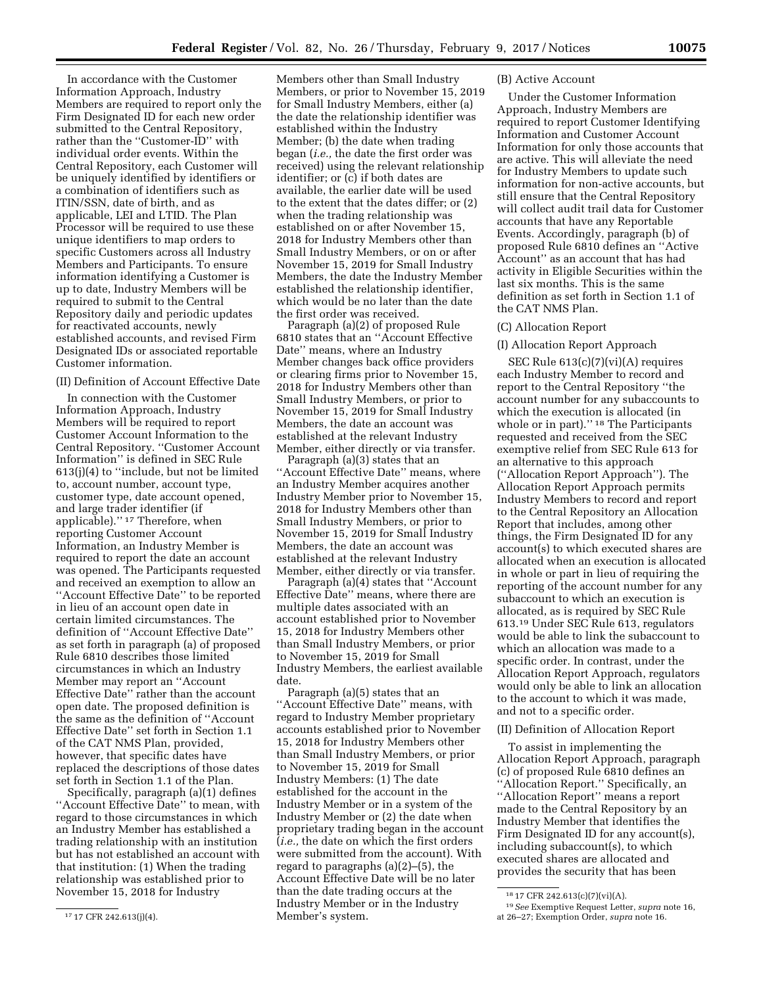In accordance with the Customer Information Approach, Industry Members are required to report only the Firm Designated ID for each new order submitted to the Central Repository, rather than the ''Customer-ID'' with individual order events. Within the Central Repository, each Customer will be uniquely identified by identifiers or a combination of identifiers such as ITIN/SSN, date of birth, and as applicable, LEI and LTID. The Plan Processor will be required to use these unique identifiers to map orders to specific Customers across all Industry Members and Participants. To ensure information identifying a Customer is up to date, Industry Members will be required to submit to the Central Repository daily and periodic updates for reactivated accounts, newly established accounts, and revised Firm Designated IDs or associated reportable Customer information.

(II) Definition of Account Effective Date

In connection with the Customer Information Approach, Industry Members will be required to report Customer Account Information to the Central Repository. ''Customer Account Information'' is defined in SEC Rule 613(j)(4) to ''include, but not be limited to, account number, account type, customer type, date account opened, and large trader identifier (if applicable).'' 17 Therefore, when reporting Customer Account Information, an Industry Member is required to report the date an account was opened. The Participants requested and received an exemption to allow an ''Account Effective Date'' to be reported in lieu of an account open date in certain limited circumstances. The definition of ''Account Effective Date'' as set forth in paragraph (a) of proposed Rule 6810 describes those limited circumstances in which an Industry Member may report an ''Account Effective Date'' rather than the account open date. The proposed definition is the same as the definition of ''Account Effective Date'' set forth in Section 1.1 of the CAT NMS Plan, provided, however, that specific dates have replaced the descriptions of those dates set forth in Section 1.1 of the Plan.

Specifically, paragraph (a)(1) defines ''Account Effective Date'' to mean, with regard to those circumstances in which an Industry Member has established a trading relationship with an institution but has not established an account with that institution: (1) When the trading relationship was established prior to November 15, 2018 for Industry

Members other than Small Industry Members, or prior to November 15, 2019 for Small Industry Members, either (a) the date the relationship identifier was established within the Industry Member; (b) the date when trading began (*i.e.,* the date the first order was received) using the relevant relationship identifier; or (c) if both dates are available, the earlier date will be used to the extent that the dates differ; or (2) when the trading relationship was established on or after November 15, 2018 for Industry Members other than Small Industry Members, or on or after November 15, 2019 for Small Industry Members, the date the Industry Member established the relationship identifier, which would be no later than the date the first order was received.

Paragraph (a)(2) of proposed Rule 6810 states that an ''Account Effective Date'' means, where an Industry Member changes back office providers or clearing firms prior to November 15, 2018 for Industry Members other than Small Industry Members, or prior to November 15, 2019 for Small Industry Members, the date an account was established at the relevant Industry Member, either directly or via transfer.

Paragraph (a)(3) states that an ''Account Effective Date'' means, where an Industry Member acquires another Industry Member prior to November 15, 2018 for Industry Members other than Small Industry Members, or prior to November 15, 2019 for Small Industry Members, the date an account was established at the relevant Industry Member, either directly or via transfer.

Paragraph (a)(4) states that ''Account Effective Date'' means, where there are multiple dates associated with an account established prior to November 15, 2018 for Industry Members other than Small Industry Members, or prior to November 15, 2019 for Small Industry Members, the earliest available date.

Paragraph (a)(5) states that an ''Account Effective Date'' means, with regard to Industry Member proprietary accounts established prior to November 15, 2018 for Industry Members other than Small Industry Members, or prior to November 15, 2019 for Small Industry Members: (1) The date established for the account in the Industry Member or in a system of the Industry Member or (2) the date when proprietary trading began in the account (*i.e.,* the date on which the first orders were submitted from the account). With regard to paragraphs (a)(2)–(5), the Account Effective Date will be no later than the date trading occurs at the Industry Member or in the Industry Member's system.

#### (B) Active Account

Under the Customer Information Approach, Industry Members are required to report Customer Identifying Information and Customer Account Information for only those accounts that are active. This will alleviate the need for Industry Members to update such information for non-active accounts, but still ensure that the Central Repository will collect audit trail data for Customer accounts that have any Reportable Events. Accordingly, paragraph (b) of proposed Rule 6810 defines an ''Active Account'' as an account that has had activity in Eligible Securities within the last six months. This is the same definition as set forth in Section 1.1 of the CAT NMS Plan.

### (C) Allocation Report

## (I) Allocation Report Approach

SEC Rule 613(c)(7)(vi)(A) requires each Industry Member to record and report to the Central Repository ''the account number for any subaccounts to which the execution is allocated (in whole or in part).'' 18 The Participants requested and received from the SEC exemptive relief from SEC Rule 613 for an alternative to this approach (''Allocation Report Approach''). The Allocation Report Approach permits Industry Members to record and report to the Central Repository an Allocation Report that includes, among other things, the Firm Designated ID for any account(s) to which executed shares are allocated when an execution is allocated in whole or part in lieu of requiring the reporting of the account number for any subaccount to which an execution is allocated, as is required by SEC Rule 613.19 Under SEC Rule 613, regulators would be able to link the subaccount to which an allocation was made to a specific order. In contrast, under the Allocation Report Approach, regulators would only be able to link an allocation to the account to which it was made, and not to a specific order.

## (II) Definition of Allocation Report

To assist in implementing the Allocation Report Approach, paragraph (c) of proposed Rule 6810 defines an ''Allocation Report.'' Specifically, an ''Allocation Report'' means a report made to the Central Repository by an Industry Member that identifies the Firm Designated ID for any account(s), including subaccount(s), to which executed shares are allocated and provides the security that has been

<sup>17</sup> 17 CFR 242.613(j)(4).

<sup>18</sup> 17 CFR 242.613(c)(7)(vi)(A).

<sup>19</sup>*See* Exemptive Request Letter, *supra* note 16, at 26–27; Exemption Order, *supra* note 16.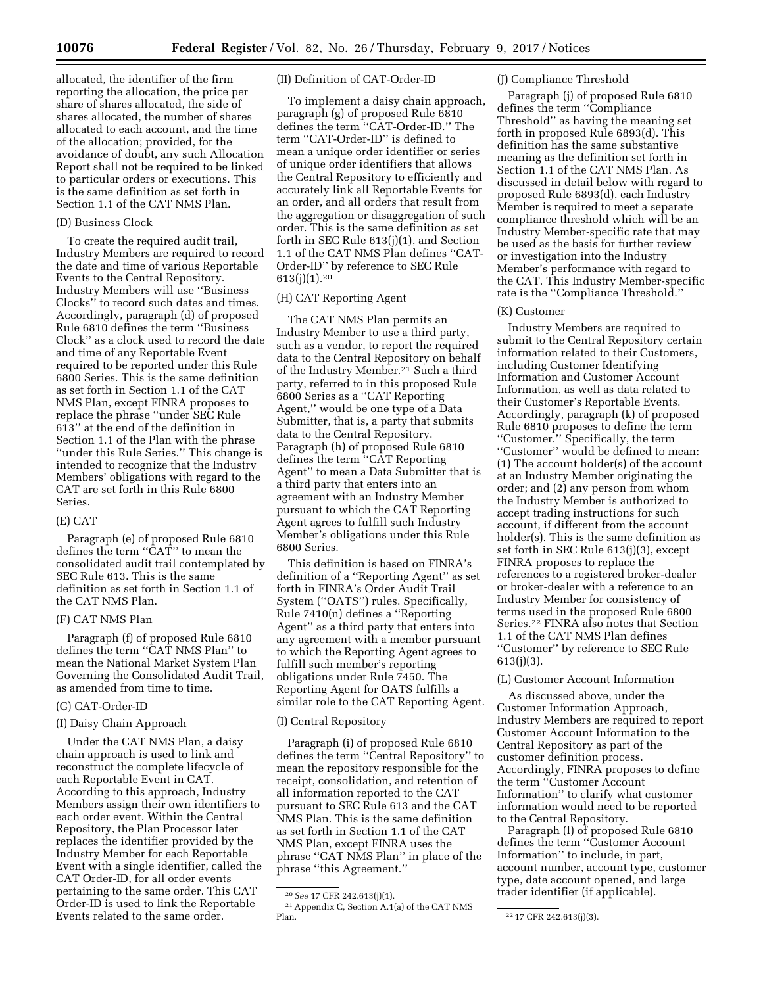allocated, the identifier of the firm reporting the allocation, the price per share of shares allocated, the side of shares allocated, the number of shares allocated to each account, and the time of the allocation; provided, for the avoidance of doubt, any such Allocation Report shall not be required to be linked to particular orders or executions. This is the same definition as set forth in Section 1.1 of the CAT NMS Plan.

### (D) Business Clock

To create the required audit trail, Industry Members are required to record the date and time of various Reportable Events to the Central Repository. Industry Members will use ''Business Clocks'' to record such dates and times. Accordingly, paragraph (d) of proposed Rule 6810 defines the term ''Business Clock'' as a clock used to record the date and time of any Reportable Event required to be reported under this Rule 6800 Series. This is the same definition as set forth in Section 1.1 of the CAT NMS Plan, except FINRA proposes to replace the phrase ''under SEC Rule 613'' at the end of the definition in Section 1.1 of the Plan with the phrase ''under this Rule Series.'' This change is intended to recognize that the Industry Members' obligations with regard to the CAT are set forth in this Rule 6800 Series.

### (E) CAT

Paragraph (e) of proposed Rule 6810 defines the term ''CAT'' to mean the consolidated audit trail contemplated by SEC Rule 613. This is the same definition as set forth in Section 1.1 of the CAT NMS Plan.

### (F) CAT NMS Plan

Paragraph (f) of proposed Rule 6810 defines the term ''CAT NMS Plan'' to mean the National Market System Plan Governing the Consolidated Audit Trail, as amended from time to time.

### (G) CAT-Order-ID

### (I) Daisy Chain Approach

Under the CAT NMS Plan, a daisy chain approach is used to link and reconstruct the complete lifecycle of each Reportable Event in CAT. According to this approach, Industry Members assign their own identifiers to each order event. Within the Central Repository, the Plan Processor later replaces the identifier provided by the Industry Member for each Reportable Event with a single identifier, called the CAT Order-ID, for all order events pertaining to the same order. This CAT Order-ID is used to link the Reportable Events related to the same order.

## (II) Definition of CAT-Order-ID

To implement a daisy chain approach, paragraph (g) of proposed Rule 6810 defines the term ''CAT-Order-ID.'' The term ''CAT-Order-ID'' is defined to mean a unique order identifier or series of unique order identifiers that allows the Central Repository to efficiently and accurately link all Reportable Events for an order, and all orders that result from the aggregation or disaggregation of such order. This is the same definition as set forth in SEC Rule 613(j)(1), and Section 1.1 of the CAT NMS Plan defines ''CAT-Order-ID'' by reference to SEC Rule  $613(j)(1).20$ 

## (H) CAT Reporting Agent

The CAT NMS Plan permits an Industry Member to use a third party, such as a vendor, to report the required data to the Central Repository on behalf of the Industry Member.21 Such a third party, referred to in this proposed Rule 6800 Series as a ''CAT Reporting Agent,'' would be one type of a Data Submitter, that is, a party that submits data to the Central Repository. Paragraph (h) of proposed Rule 6810 defines the term ''CAT Reporting Agent'' to mean a Data Submitter that is a third party that enters into an agreement with an Industry Member pursuant to which the CAT Reporting Agent agrees to fulfill such Industry Member's obligations under this Rule 6800 Series.

This definition is based on FINRA's definition of a ''Reporting Agent'' as set forth in FINRA's Order Audit Trail System (''OATS'') rules. Specifically, Rule 7410(n) defines a ''Reporting Agent'' as a third party that enters into any agreement with a member pursuant to which the Reporting Agent agrees to fulfill such member's reporting obligations under Rule 7450. The Reporting Agent for OATS fulfills a similar role to the CAT Reporting Agent.

### (I) Central Repository

Paragraph (i) of proposed Rule 6810 defines the term ''Central Repository'' to mean the repository responsible for the receipt, consolidation, and retention of all information reported to the CAT pursuant to SEC Rule 613 and the CAT NMS Plan. This is the same definition as set forth in Section 1.1 of the CAT NMS Plan, except FINRA uses the phrase ''CAT NMS Plan'' in place of the phrase ''this Agreement.''

## (J) Compliance Threshold

Paragraph (j) of proposed Rule 6810 defines the term ''Compliance Threshold'' as having the meaning set forth in proposed Rule 6893(d). This definition has the same substantive meaning as the definition set forth in Section 1.1 of the CAT NMS Plan. As discussed in detail below with regard to proposed Rule 6893(d), each Industry Member is required to meet a separate compliance threshold which will be an Industry Member-specific rate that may be used as the basis for further review or investigation into the Industry Member's performance with regard to the CAT. This Industry Member-specific rate is the ''Compliance Threshold.''

### (K) Customer

Industry Members are required to submit to the Central Repository certain information related to their Customers, including Customer Identifying Information and Customer Account Information, as well as data related to their Customer's Reportable Events. Accordingly, paragraph (k) of proposed Rule 6810 proposes to define the term ''Customer.'' Specifically, the term ''Customer'' would be defined to mean: (1) The account holder(s) of the account at an Industry Member originating the order; and (2) any person from whom the Industry Member is authorized to accept trading instructions for such account, if different from the account holder(s). This is the same definition as set forth in SEC Rule 613(j)(3), except FINRA proposes to replace the references to a registered broker-dealer or broker-dealer with a reference to an Industry Member for consistency of terms used in the proposed Rule 6800 Series.22 FINRA also notes that Section 1.1 of the CAT NMS Plan defines ''Customer'' by reference to SEC Rule 613(j)(3).

### (L) Customer Account Information

As discussed above, under the Customer Information Approach, Industry Members are required to report Customer Account Information to the Central Repository as part of the customer definition process. Accordingly, FINRA proposes to define the term ''Customer Account Information'' to clarify what customer information would need to be reported to the Central Repository.

Paragraph (l) of proposed Rule 6810 defines the term ''Customer Account Information'' to include, in part, account number, account type, customer type, date account opened, and large trader identifier (if applicable).

<sup>20</sup>*See* 17 CFR 242.613(j)(1).

 $^{21}\,$  Appendix C, Section A.1(a) of the CAT NMS Plan.

<sup>&</sup>lt;sup>22</sup> 17 CFR 242.613(j)(3).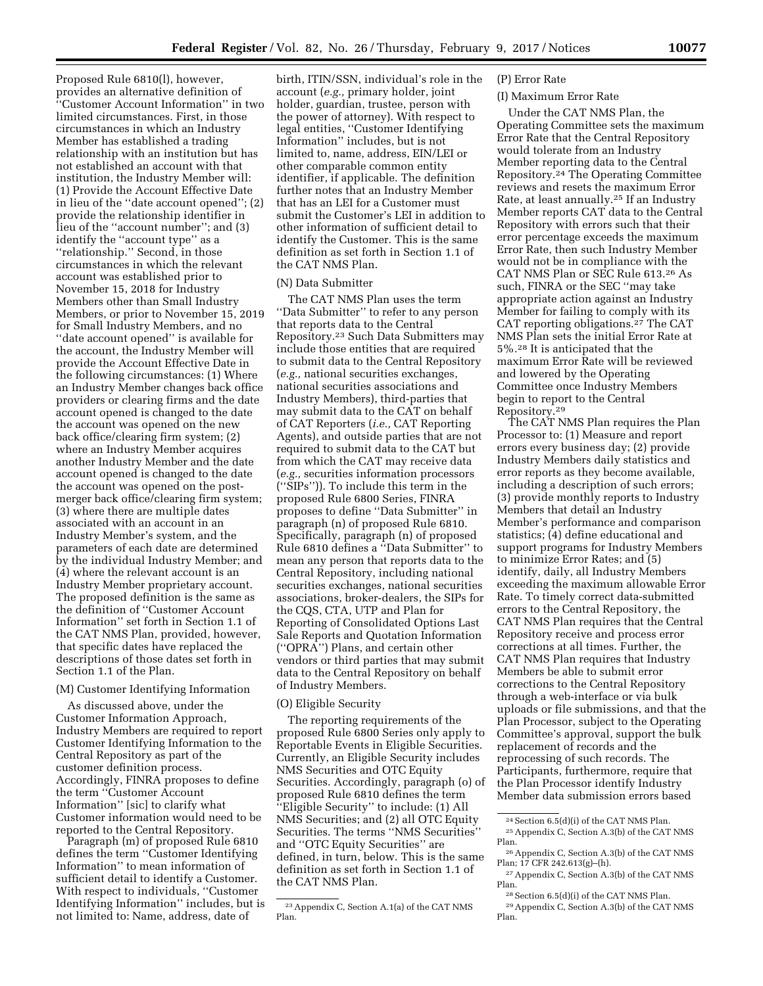Proposed Rule 6810(l), however, provides an alternative definition of ''Customer Account Information'' in two limited circumstances. First, in those circumstances in which an Industry Member has established a trading relationship with an institution but has not established an account with that institution, the Industry Member will: (1) Provide the Account Effective Date in lieu of the ''date account opened''; (2) provide the relationship identifier in lieu of the ''account number''; and (3) identify the ''account type'' as a ''relationship.'' Second, in those circumstances in which the relevant account was established prior to November 15, 2018 for Industry Members other than Small Industry Members, or prior to November 15, 2019 for Small Industry Members, and no ''date account opened'' is available for the account, the Industry Member will provide the Account Effective Date in the following circumstances: (1) Where an Industry Member changes back office providers or clearing firms and the date account opened is changed to the date the account was opened on the new back office/clearing firm system; (2) where an Industry Member acquires another Industry Member and the date account opened is changed to the date the account was opened on the postmerger back office/clearing firm system; (3) where there are multiple dates associated with an account in an Industry Member's system, and the parameters of each date are determined by the individual Industry Member; and (4) where the relevant account is an Industry Member proprietary account. The proposed definition is the same as the definition of ''Customer Account Information'' set forth in Section 1.1 of the CAT NMS Plan, provided, however, that specific dates have replaced the descriptions of those dates set forth in Section 1.1 of the Plan.

### (M) Customer Identifying Information

As discussed above, under the Customer Information Approach, Industry Members are required to report Customer Identifying Information to the Central Repository as part of the customer definition process. Accordingly, FINRA proposes to define the term ''Customer Account Information'' [sic] to clarify what Customer information would need to be reported to the Central Repository.

Paragraph (m) of proposed Rule 6810 defines the term ''Customer Identifying Information'' to mean information of sufficient detail to identify a Customer. With respect to individuals, ''Customer Identifying Information'' includes, but is not limited to: Name, address, date of

birth, ITIN/SSN, individual's role in the account (*e.g.,* primary holder, joint holder, guardian, trustee, person with the power of attorney). With respect to legal entities, ''Customer Identifying Information'' includes, but is not limited to, name, address, EIN/LEI or other comparable common entity identifier, if applicable. The definition further notes that an Industry Member that has an LEI for a Customer must submit the Customer's LEI in addition to other information of sufficient detail to identify the Customer. This is the same definition as set forth in Section 1.1 of the CAT NMS Plan.

#### (N) Data Submitter

The CAT NMS Plan uses the term ''Data Submitter'' to refer to any person that reports data to the Central Repository.23 Such Data Submitters may include those entities that are required to submit data to the Central Repository (*e.g.,* national securities exchanges, national securities associations and Industry Members), third-parties that may submit data to the CAT on behalf of CAT Reporters (*i.e.,* CAT Reporting Agents), and outside parties that are not required to submit data to the CAT but from which the CAT may receive data (*e.g.,* securities information processors (''SIPs'')). To include this term in the proposed Rule 6800 Series, FINRA proposes to define ''Data Submitter'' in paragraph (n) of proposed Rule 6810. Specifically, paragraph (n) of proposed Rule 6810 defines a ''Data Submitter'' to mean any person that reports data to the Central Repository, including national securities exchanges, national securities associations, broker-dealers, the SIPs for the CQS, CTA, UTP and Plan for Reporting of Consolidated Options Last Sale Reports and Quotation Information (''OPRA'') Plans, and certain other vendors or third parties that may submit data to the Central Repository on behalf of Industry Members.

## (O) Eligible Security

The reporting requirements of the proposed Rule 6800 Series only apply to Reportable Events in Eligible Securities. Currently, an Eligible Security includes NMS Securities and OTC Equity Securities. Accordingly, paragraph (o) of proposed Rule 6810 defines the term ''Eligible Security'' to include: (1) All NMS Securities; and (2) all OTC Equity Securities. The terms ''NMS Securities'' and ''OTC Equity Securities'' are defined, in turn, below. This is the same definition as set forth in Section 1.1 of the CAT NMS Plan.

### (P) Error Rate

### (I) Maximum Error Rate

Under the CAT NMS Plan, the Operating Committee sets the maximum Error Rate that the Central Repository would tolerate from an Industry Member reporting data to the Central Repository.24 The Operating Committee reviews and resets the maximum Error Rate, at least annually.25 If an Industry Member reports CAT data to the Central Repository with errors such that their error percentage exceeds the maximum Error Rate, then such Industry Member would not be in compliance with the CAT NMS Plan or SEC Rule 613.26 As such, FINRA or the SEC ''may take appropriate action against an Industry Member for failing to comply with its CAT reporting obligations.27 The CAT NMS Plan sets the initial Error Rate at 5%.28 It is anticipated that the maximum Error Rate will be reviewed and lowered by the Operating Committee once Industry Members begin to report to the Central Repository.29

The CAT NMS Plan requires the Plan Processor to: (1) Measure and report errors every business day; (2) provide Industry Members daily statistics and error reports as they become available, including a description of such errors; (3) provide monthly reports to Industry Members that detail an Industry Member's performance and comparison statistics; (4) define educational and support programs for Industry Members to minimize Error Rates; and (5) identify, daily, all Industry Members exceeding the maximum allowable Error Rate. To timely correct data-submitted errors to the Central Repository, the CAT NMS Plan requires that the Central Repository receive and process error corrections at all times. Further, the CAT NMS Plan requires that Industry Members be able to submit error corrections to the Central Repository through a web-interface or via bulk uploads or file submissions, and that the Plan Processor, subject to the Operating Committee's approval, support the bulk replacement of records and the reprocessing of such records. The Participants, furthermore, require that the Plan Processor identify Industry Member data submission errors based

<sup>23</sup>Appendix C, Section A.1(a) of the CAT NMS Plan.

<sup>24</sup>Section 6.5(d)(i) of the CAT NMS Plan. 25Appendix C, Section A.3(b) of the CAT NMS Plan.

<sup>26</sup>Appendix C, Section A.3(b) of the CAT NMS Plan; 17 CFR 242.613(g)–(h).

<sup>27</sup>Appendix C, Section A.3(b) of the CAT NMS Plan.

<sup>&</sup>lt;sup>28</sup> Section 6.5(d)(i) of the CAT NMS Plan.

<sup>29</sup>Appendix C, Section A.3(b) of the CAT NMS Plan.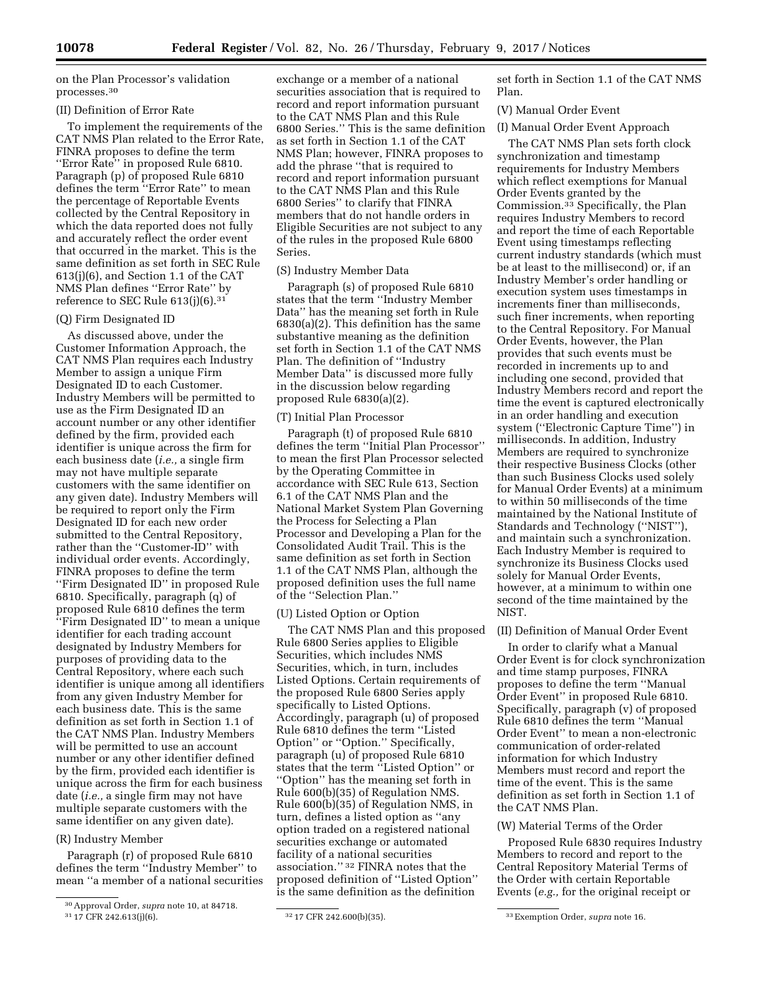on the Plan Processor's validation processes.30

### (II) Definition of Error Rate

To implement the requirements of the CAT NMS Plan related to the Error Rate, FINRA proposes to define the term ''Error Rate'' in proposed Rule 6810. Paragraph (p) of proposed Rule 6810 defines the term ''Error Rate'' to mean the percentage of Reportable Events collected by the Central Repository in which the data reported does not fully and accurately reflect the order event that occurred in the market. This is the same definition as set forth in SEC Rule 613(j)(6), and Section 1.1 of the CAT NMS Plan defines ''Error Rate'' by reference to SEC Rule  $613(j)(6).^{31}$ 

# (Q) Firm Designated ID

As discussed above, under the Customer Information Approach, the CAT NMS Plan requires each Industry Member to assign a unique Firm Designated ID to each Customer. Industry Members will be permitted to use as the Firm Designated ID an account number or any other identifier defined by the firm, provided each identifier is unique across the firm for each business date (*i.e.,* a single firm may not have multiple separate customers with the same identifier on any given date). Industry Members will be required to report only the Firm Designated ID for each new order submitted to the Central Repository, rather than the ''Customer-ID'' with individual order events. Accordingly, FINRA proposes to define the term ''Firm Designated ID'' in proposed Rule 6810. Specifically, paragraph (q) of proposed Rule 6810 defines the term ''Firm Designated ID'' to mean a unique identifier for each trading account designated by Industry Members for purposes of providing data to the Central Repository, where each such identifier is unique among all identifiers from any given Industry Member for each business date. This is the same definition as set forth in Section 1.1 of the CAT NMS Plan. Industry Members will be permitted to use an account number or any other identifier defined by the firm, provided each identifier is unique across the firm for each business date (*i.e.,* a single firm may not have multiple separate customers with the same identifier on any given date).

### (R) Industry Member

Paragraph (r) of proposed Rule 6810 defines the term ''Industry Member'' to mean ''a member of a national securities

exchange or a member of a national securities association that is required to record and report information pursuant to the CAT NMS Plan and this Rule 6800 Series.'' This is the same definition as set forth in Section 1.1 of the CAT NMS Plan; however, FINRA proposes to add the phrase ''that is required to record and report information pursuant to the CAT NMS Plan and this Rule 6800 Series'' to clarify that FINRA members that do not handle orders in Eligible Securities are not subject to any of the rules in the proposed Rule 6800 Series.

### (S) Industry Member Data

Paragraph (s) of proposed Rule 6810 states that the term ''Industry Member Data'' has the meaning set forth in Rule 6830(a)(2). This definition has the same substantive meaning as the definition set forth in Section 1.1 of the CAT NMS Plan. The definition of ''Industry Member Data'' is discussed more fully in the discussion below regarding proposed Rule 6830(a)(2).

### (T) Initial Plan Processor

Paragraph (t) of proposed Rule 6810 defines the term ''Initial Plan Processor'' to mean the first Plan Processor selected by the Operating Committee in accordance with SEC Rule 613, Section 6.1 of the CAT NMS Plan and the National Market System Plan Governing the Process for Selecting a Plan Processor and Developing a Plan for the Consolidated Audit Trail. This is the same definition as set forth in Section 1.1 of the CAT NMS Plan, although the proposed definition uses the full name of the ''Selection Plan.''

### (U) Listed Option or Option

The CAT NMS Plan and this proposed Rule 6800 Series applies to Eligible Securities, which includes NMS Securities, which, in turn, includes Listed Options. Certain requirements of the proposed Rule 6800 Series apply specifically to Listed Options. Accordingly, paragraph (u) of proposed Rule 6810 defines the term ''Listed Option'' or ''Option.'' Specifically, paragraph (u) of proposed Rule 6810 states that the term ''Listed Option'' or ''Option'' has the meaning set forth in Rule 600(b)(35) of Regulation NMS. Rule 600(b)(35) of Regulation NMS, in turn, defines a listed option as ''any option traded on a registered national securities exchange or automated facility of a national securities association.'' 32 FINRA notes that the proposed definition of ''Listed Option'' is the same definition as the definition

set forth in Section 1.1 of the CAT NMS Plan.

### (V) Manual Order Event

(I) Manual Order Event Approach

The CAT NMS Plan sets forth clock synchronization and timestamp requirements for Industry Members which reflect exemptions for Manual Order Events granted by the Commission.33 Specifically, the Plan requires Industry Members to record and report the time of each Reportable Event using timestamps reflecting current industry standards (which must be at least to the millisecond) or, if an Industry Member's order handling or execution system uses timestamps in increments finer than milliseconds, such finer increments, when reporting to the Central Repository. For Manual Order Events, however, the Plan provides that such events must be recorded in increments up to and including one second, provided that Industry Members record and report the time the event is captured electronically in an order handling and execution system (''Electronic Capture Time'') in milliseconds. In addition, Industry Members are required to synchronize their respective Business Clocks (other than such Business Clocks used solely for Manual Order Events) at a minimum to within 50 milliseconds of the time maintained by the National Institute of Standards and Technology (''NIST''), and maintain such a synchronization. Each Industry Member is required to synchronize its Business Clocks used solely for Manual Order Events, however, at a minimum to within one second of the time maintained by the NIST.

### (II) Definition of Manual Order Event

In order to clarify what a Manual Order Event is for clock synchronization and time stamp purposes, FINRA proposes to define the term ''Manual Order Event'' in proposed Rule 6810. Specifically, paragraph (v) of proposed Rule 6810 defines the term ''Manual Order Event'' to mean a non-electronic communication of order-related information for which Industry Members must record and report the time of the event. This is the same definition as set forth in Section 1.1 of the CAT NMS Plan.

### (W) Material Terms of the Order

Proposed Rule 6830 requires Industry Members to record and report to the Central Repository Material Terms of the Order with certain Reportable Events (*e.g.,* for the original receipt or

<sup>30</sup>Approval Order, *supra* note 10, at 84718.

<sup>31</sup> 17 CFR 242.613(j)(6). 32 17 CFR 242.600(b)(35). 33Exemption Order, *supra* note 16.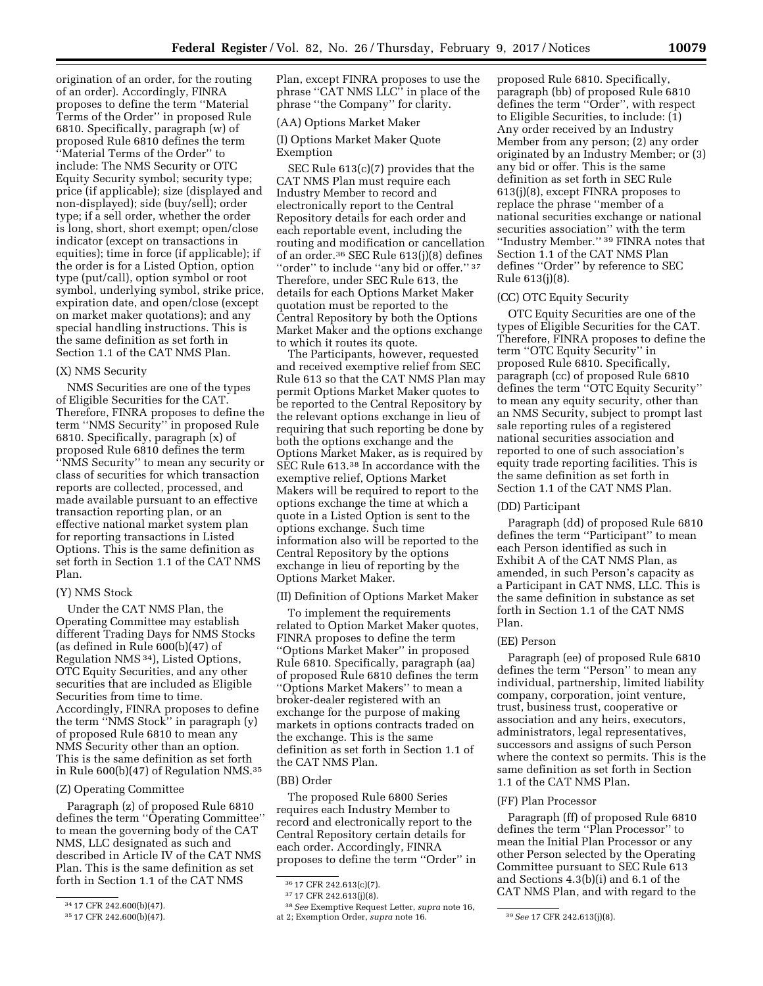origination of an order, for the routing of an order). Accordingly, FINRA proposes to define the term ''Material Terms of the Order'' in proposed Rule 6810. Specifically, paragraph (w) of proposed Rule 6810 defines the term ''Material Terms of the Order'' to include: The NMS Security or OTC Equity Security symbol; security type; price (if applicable); size (displayed and non-displayed); side (buy/sell); order type; if a sell order, whether the order is long, short, short exempt; open/close indicator (except on transactions in equities); time in force (if applicable); if the order is for a Listed Option, option type (put/call), option symbol or root symbol, underlying symbol, strike price, expiration date, and open/close (except on market maker quotations); and any special handling instructions. This is the same definition as set forth in Section 1.1 of the CAT NMS Plan.

# (X) NMS Security

NMS Securities are one of the types of Eligible Securities for the CAT. Therefore, FINRA proposes to define the term ''NMS Security'' in proposed Rule 6810. Specifically, paragraph (x) of proposed Rule 6810 defines the term ''NMS Security'' to mean any security or class of securities for which transaction reports are collected, processed, and made available pursuant to an effective transaction reporting plan, or an effective national market system plan for reporting transactions in Listed Options. This is the same definition as set forth in Section 1.1 of the CAT NMS Plan.

## (Y) NMS Stock

Under the CAT NMS Plan, the Operating Committee may establish different Trading Days for NMS Stocks (as defined in Rule 600(b)(47) of Regulation NMS 34), Listed Options, OTC Equity Securities, and any other securities that are included as Eligible Securities from time to time. Accordingly, FINRA proposes to define the term ''NMS Stock'' in paragraph (y) of proposed Rule 6810 to mean any NMS Security other than an option. This is the same definition as set forth in Rule 600(b)(47) of Regulation NMS.35

## (Z) Operating Committee

Paragraph (z) of proposed Rule 6810 defines the term ''Operating Committee'' to mean the governing body of the CAT NMS, LLC designated as such and described in Article IV of the CAT NMS Plan. This is the same definition as set forth in Section 1.1 of the CAT NMS

Plan, except FINRA proposes to use the phrase ''CAT NMS LLC'' in place of the phrase ''the Company'' for clarity.

# (AA) Options Market Maker

(I) Options Market Maker Quote Exemption

SEC Rule 613(c)(7) provides that the CAT NMS Plan must require each Industry Member to record and electronically report to the Central Repository details for each order and each reportable event, including the routing and modification or cancellation of an order.36 SEC Rule 613(j)(8) defines "order" to include "any bid or offer." 37 Therefore, under SEC Rule 613, the details for each Options Market Maker quotation must be reported to the Central Repository by both the Options Market Maker and the options exchange to which it routes its quote.

The Participants, however, requested and received exemptive relief from SEC Rule 613 so that the CAT NMS Plan may permit Options Market Maker quotes to be reported to the Central Repository by the relevant options exchange in lieu of requiring that such reporting be done by both the options exchange and the Options Market Maker, as is required by SEC Rule 613.38 In accordance with the exemptive relief, Options Market Makers will be required to report to the options exchange the time at which a quote in a Listed Option is sent to the options exchange. Such time information also will be reported to the Central Repository by the options exchange in lieu of reporting by the Options Market Maker.

# (II) Definition of Options Market Maker

To implement the requirements related to Option Market Maker quotes, FINRA proposes to define the term ''Options Market Maker'' in proposed Rule 6810. Specifically, paragraph (aa) of proposed Rule 6810 defines the term ''Options Market Makers'' to mean a broker-dealer registered with an exchange for the purpose of making markets in options contracts traded on the exchange. This is the same definition as set forth in Section 1.1 of the CAT NMS Plan.

## (BB) Order

The proposed Rule 6800 Series requires each Industry Member to record and electronically report to the Central Repository certain details for each order. Accordingly, FINRA proposes to define the term ''Order'' in

proposed Rule 6810. Specifically, paragraph (bb) of proposed Rule 6810 defines the term ''Order'', with respect to Eligible Securities, to include: (1) Any order received by an Industry Member from any person; (2) any order originated by an Industry Member; or (3) any bid or offer. This is the same definition as set forth in SEC Rule 613(j)(8), except FINRA proposes to replace the phrase ''member of a national securities exchange or national securities association'' with the term ''Industry Member.'' 39 FINRA notes that Section 1.1 of the CAT NMS Plan defines ''Order'' by reference to SEC Rule 613(j)(8).

# (CC) OTC Equity Security

OTC Equity Securities are one of the types of Eligible Securities for the CAT. Therefore, FINRA proposes to define the term ''OTC Equity Security'' in proposed Rule 6810. Specifically, paragraph (cc) of proposed Rule 6810 defines the term ''OTC Equity Security'' to mean any equity security, other than an NMS Security, subject to prompt last sale reporting rules of a registered national securities association and reported to one of such association's equity trade reporting facilities. This is the same definition as set forth in Section 1.1 of the CAT NMS Plan.

## (DD) Participant

Paragraph (dd) of proposed Rule 6810 defines the term ''Participant'' to mean each Person identified as such in Exhibit A of the CAT NMS Plan, as amended, in such Person's capacity as a Participant in CAT NMS, LLC. This is the same definition in substance as set forth in Section 1.1 of the CAT NMS Plan.

## (EE) Person

Paragraph (ee) of proposed Rule 6810 defines the term ''Person'' to mean any individual, partnership, limited liability company, corporation, joint venture, trust, business trust, cooperative or association and any heirs, executors, administrators, legal representatives, successors and assigns of such Person where the context so permits. This is the same definition as set forth in Section 1.1 of the CAT NMS Plan.

## (FF) Plan Processor

Paragraph (ff) of proposed Rule 6810 defines the term ''Plan Processor'' to mean the Initial Plan Processor or any other Person selected by the Operating Committee pursuant to SEC Rule 613 and Sections 4.3(b)(i) and 6.1 of the CAT NMS Plan, and with regard to the

<sup>34</sup> 17 CFR 242.600(b)(47).

<sup>35</sup> 17 CFR 242.600(b)(47).

<sup>36</sup> 17 CFR 242.613(c)(7).

<sup>37</sup> 17 CFR 242.613(j)(8).

<sup>38</sup>*See* Exemptive Request Letter, *supra* note 16, at 2; Exemption Order, *supra* note 16. 39*See* 17 CFR 242.613(j)(8).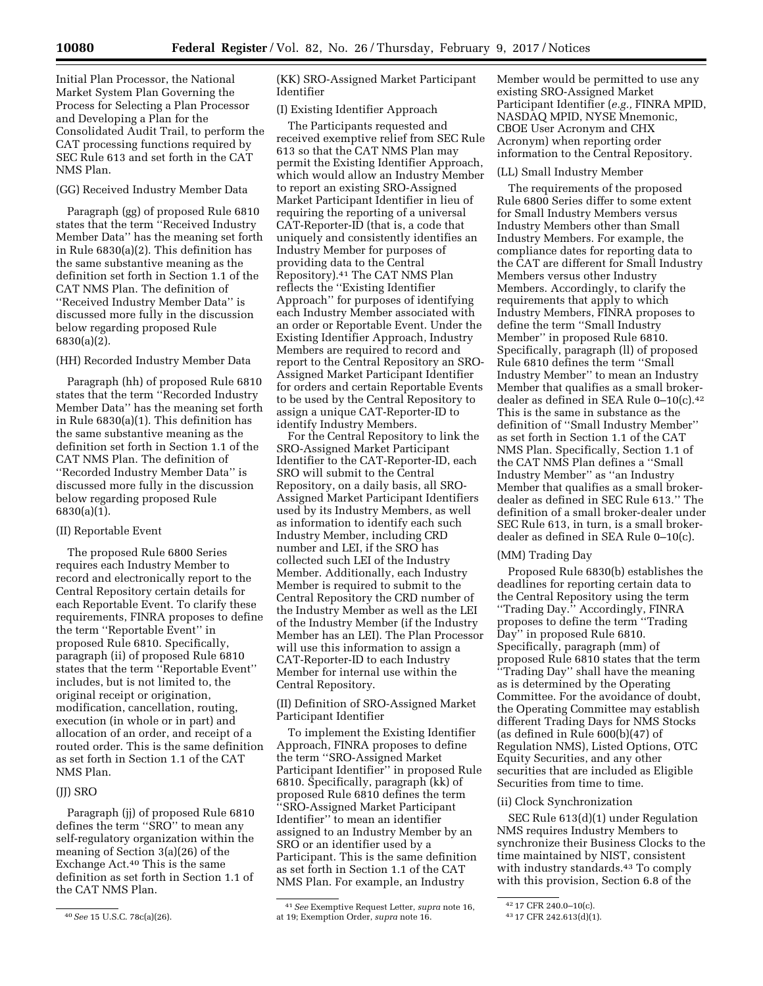Initial Plan Processor, the National Market System Plan Governing the Process for Selecting a Plan Processor and Developing a Plan for the Consolidated Audit Trail, to perform the CAT processing functions required by SEC Rule 613 and set forth in the CAT NMS Plan.

## (GG) Received Industry Member Data

Paragraph (gg) of proposed Rule 6810 states that the term ''Received Industry Member Data'' has the meaning set forth in Rule 6830(a)(2). This definition has the same substantive meaning as the definition set forth in Section 1.1 of the CAT NMS Plan. The definition of ''Received Industry Member Data'' is discussed more fully in the discussion below regarding proposed Rule 6830(a)(2).

## (HH) Recorded Industry Member Data

Paragraph (hh) of proposed Rule 6810 states that the term ''Recorded Industry Member Data'' has the meaning set forth in Rule 6830(a)(1). This definition has the same substantive meaning as the definition set forth in Section 1.1 of the CAT NMS Plan. The definition of ''Recorded Industry Member Data'' is discussed more fully in the discussion below regarding proposed Rule 6830(a)(1).

## (II) Reportable Event

The proposed Rule 6800 Series requires each Industry Member to record and electronically report to the Central Repository certain details for each Reportable Event. To clarify these requirements, FINRA proposes to define the term ''Reportable Event'' in proposed Rule 6810. Specifically, paragraph (ii) of proposed Rule 6810 states that the term ''Reportable Event'' includes, but is not limited to, the original receipt or origination, modification, cancellation, routing, execution (in whole or in part) and allocation of an order, and receipt of a routed order. This is the same definition as set forth in Section 1.1 of the CAT NMS Plan.

### (JJ) SRO

Paragraph (jj) of proposed Rule 6810 defines the term ''SRO'' to mean any self-regulatory organization within the meaning of Section 3(a)(26) of the Exchange Act.40 This is the same definition as set forth in Section 1.1 of the CAT NMS Plan.

(KK) SRO-Assigned Market Participant Identifier

## (I) Existing Identifier Approach

The Participants requested and received exemptive relief from SEC Rule 613 so that the CAT NMS Plan may permit the Existing Identifier Approach, which would allow an Industry Member to report an existing SRO-Assigned Market Participant Identifier in lieu of requiring the reporting of a universal CAT-Reporter-ID (that is, a code that uniquely and consistently identifies an Industry Member for purposes of providing data to the Central Repository).41 The CAT NMS Plan reflects the ''Existing Identifier Approach'' for purposes of identifying each Industry Member associated with an order or Reportable Event. Under the Existing Identifier Approach, Industry Members are required to record and report to the Central Repository an SRO-Assigned Market Participant Identifier for orders and certain Reportable Events to be used by the Central Repository to assign a unique CAT-Reporter-ID to identify Industry Members.

For the Central Repository to link the SRO-Assigned Market Participant Identifier to the CAT-Reporter-ID, each SRO will submit to the Central Repository, on a daily basis, all SRO-Assigned Market Participant Identifiers used by its Industry Members, as well as information to identify each such Industry Member, including CRD number and LEI, if the SRO has collected such LEI of the Industry Member. Additionally, each Industry Member is required to submit to the Central Repository the CRD number of the Industry Member as well as the LEI of the Industry Member (if the Industry Member has an LEI). The Plan Processor will use this information to assign a CAT-Reporter-ID to each Industry Member for internal use within the Central Repository.

(II) Definition of SRO-Assigned Market Participant Identifier

To implement the Existing Identifier Approach, FINRA proposes to define the term ''SRO-Assigned Market Participant Identifier'' in proposed Rule 6810. Specifically, paragraph (kk) of proposed Rule 6810 defines the term ''SRO-Assigned Market Participant Identifier'' to mean an identifier assigned to an Industry Member by an SRO or an identifier used by a Participant. This is the same definition as set forth in Section 1.1 of the CAT NMS Plan. For example, an Industry

41*See* Exemptive Request Letter, *supra* note 16, at 19; Exemption Order, *supra* note 16.

Member would be permitted to use any existing SRO-Assigned Market Participant Identifier (*e.g.,* FINRA MPID, NASDAQ MPID, NYSE Mnemonic, CBOE User Acronym and CHX Acronym) when reporting order information to the Central Repository.

### (LL) Small Industry Member

The requirements of the proposed Rule 6800 Series differ to some extent for Small Industry Members versus Industry Members other than Small Industry Members. For example, the compliance dates for reporting data to the CAT are different for Small Industry Members versus other Industry Members. Accordingly, to clarify the requirements that apply to which Industry Members, FINRA proposes to define the term ''Small Industry Member'' in proposed Rule 6810. Specifically, paragraph (ll) of proposed Rule 6810 defines the term ''Small Industry Member'' to mean an Industry Member that qualifies as a small brokerdealer as defined in SEA Rule 0–10(c).42 This is the same in substance as the definition of ''Small Industry Member'' as set forth in Section 1.1 of the CAT NMS Plan. Specifically, Section 1.1 of the CAT NMS Plan defines a ''Small Industry Member'' as ''an Industry Member that qualifies as a small brokerdealer as defined in SEC Rule 613.'' The definition of a small broker-dealer under SEC Rule 613, in turn, is a small brokerdealer as defined in SEA Rule 0–10(c).

### (MM) Trading Day

Proposed Rule 6830(b) establishes the deadlines for reporting certain data to the Central Repository using the term ''Trading Day.'' Accordingly, FINRA proposes to define the term ''Trading Day'' in proposed Rule 6810. Specifically, paragraph (mm) of proposed Rule 6810 states that the term ''Trading Day'' shall have the meaning as is determined by the Operating Committee. For the avoidance of doubt, the Operating Committee may establish different Trading Days for NMS Stocks (as defined in Rule 600(b)(47) of Regulation NMS), Listed Options, OTC Equity Securities, and any other securities that are included as Eligible Securities from time to time.

### (ii) Clock Synchronization

SEC Rule 613(d)(1) under Regulation NMS requires Industry Members to synchronize their Business Clocks to the time maintained by NIST, consistent with industry standards.43 To comply with this provision, Section 6.8 of the

<sup>40</sup>*See* 15 U.S.C. 78c(a)(26).

<sup>42</sup> 17 CFR 240.0–10(c).

<sup>43</sup> 17 CFR 242.613(d)(1).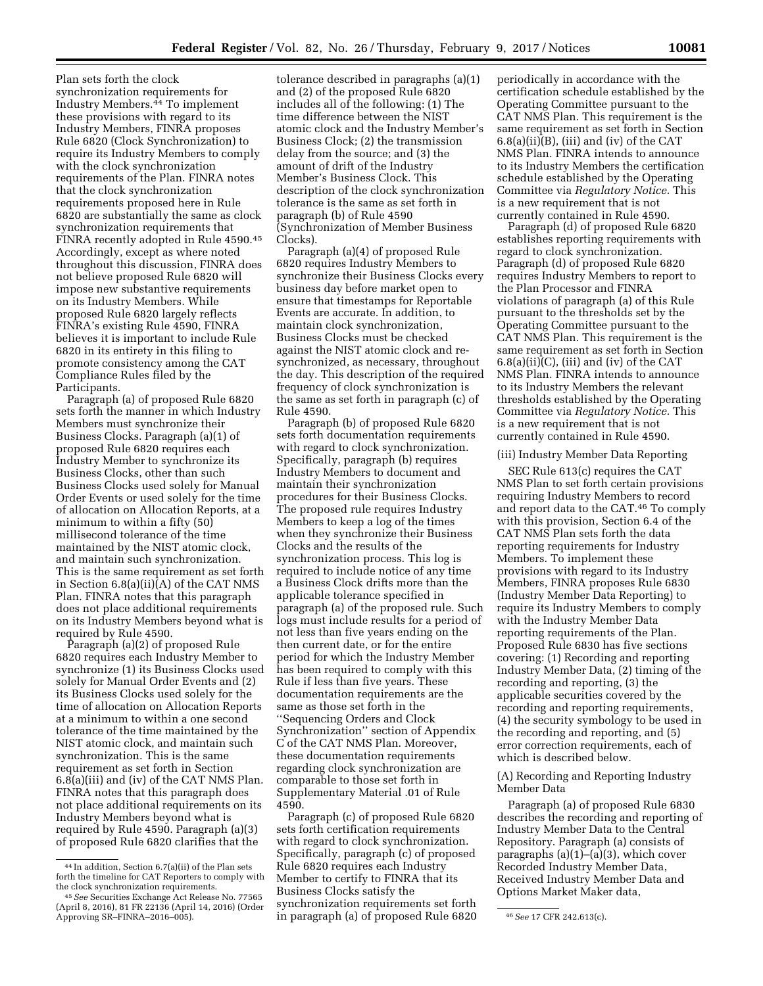Plan sets forth the clock synchronization requirements for Industry Members.44 To implement these provisions with regard to its Industry Members, FINRA proposes Rule 6820 (Clock Synchronization) to require its Industry Members to comply with the clock synchronization requirements of the Plan. FINRA notes that the clock synchronization requirements proposed here in Rule 6820 are substantially the same as clock synchronization requirements that FINRA recently adopted in Rule 4590.45 Accordingly, except as where noted throughout this discussion, FINRA does not believe proposed Rule 6820 will impose new substantive requirements on its Industry Members. While proposed Rule 6820 largely reflects FINRA's existing Rule 4590, FINRA believes it is important to include Rule 6820 in its entirety in this filing to promote consistency among the CAT Compliance Rules filed by the Participants.

Paragraph (a) of proposed Rule 6820 sets forth the manner in which Industry Members must synchronize their Business Clocks. Paragraph (a)(1) of proposed Rule 6820 requires each Industry Member to synchronize its Business Clocks, other than such Business Clocks used solely for Manual Order Events or used solely for the time of allocation on Allocation Reports, at a minimum to within a fifty (50) millisecond tolerance of the time maintained by the NIST atomic clock, and maintain such synchronization. This is the same requirement as set forth in Section 6.8(a)(ii)(A) of the CAT NMS Plan. FINRA notes that this paragraph does not place additional requirements on its Industry Members beyond what is required by Rule 4590.

Paragraph (a)(2) of proposed Rule 6820 requires each Industry Member to synchronize (1) its Business Clocks used solely for Manual Order Events and (2) its Business Clocks used solely for the time of allocation on Allocation Reports at a minimum to within a one second tolerance of the time maintained by the NIST atomic clock, and maintain such synchronization. This is the same requirement as set forth in Section 6.8(a)(iii) and (iv) of the CAT NMS Plan. FINRA notes that this paragraph does not place additional requirements on its Industry Members beyond what is required by Rule 4590. Paragraph (a)(3) of proposed Rule 6820 clarifies that the

tolerance described in paragraphs (a)(1) and (2) of the proposed Rule 6820 includes all of the following: (1) The time difference between the NIST atomic clock and the Industry Member's Business Clock; (2) the transmission delay from the source; and (3) the amount of drift of the Industry Member's Business Clock. This description of the clock synchronization tolerance is the same as set forth in paragraph (b) of Rule 4590 (Synchronization of Member Business Clocks).

Paragraph (a)(4) of proposed Rule 6820 requires Industry Members to synchronize their Business Clocks every business day before market open to ensure that timestamps for Reportable Events are accurate. In addition, to maintain clock synchronization, Business Clocks must be checked against the NIST atomic clock and resynchronized, as necessary, throughout the day. This description of the required frequency of clock synchronization is the same as set forth in paragraph (c) of Rule 4590.

Paragraph (b) of proposed Rule 6820 sets forth documentation requirements with regard to clock synchronization. Specifically, paragraph (b) requires Industry Members to document and maintain their synchronization procedures for their Business Clocks. The proposed rule requires Industry Members to keep a log of the times when they synchronize their Business Clocks and the results of the synchronization process. This log is required to include notice of any time a Business Clock drifts more than the applicable tolerance specified in paragraph (a) of the proposed rule. Such logs must include results for a period of not less than five years ending on the then current date, or for the entire period for which the Industry Member has been required to comply with this Rule if less than five years. These documentation requirements are the same as those set forth in the ''Sequencing Orders and Clock Synchronization'' section of Appendix C of the CAT NMS Plan. Moreover, these documentation requirements regarding clock synchronization are comparable to those set forth in Supplementary Material .01 of Rule 4590.

Approving SR–FINRA–2016–005). 46*See* 17 CFR 242.613(c). in paragraph (a) of proposed Rule 6820 Paragraph (c) of proposed Rule 6820 sets forth certification requirements with regard to clock synchronization. Specifically, paragraph (c) of proposed Rule 6820 requires each Industry Member to certify to FINRA that its Business Clocks satisfy the synchronization requirements set forth

periodically in accordance with the certification schedule established by the Operating Committee pursuant to the CAT NMS Plan. This requirement is the same requirement as set forth in Section  $6.8(a)(ii)(B)$ , (iii) and (iv) of the CAT NMS Plan. FINRA intends to announce to its Industry Members the certification schedule established by the Operating Committee via *Regulatory Notice.* This is a new requirement that is not currently contained in Rule 4590.

Paragraph (d) of proposed Rule 6820 establishes reporting requirements with regard to clock synchronization. Paragraph (d) of proposed Rule 6820 requires Industry Members to report to the Plan Processor and FINRA violations of paragraph (a) of this Rule pursuant to the thresholds set by the Operating Committee pursuant to the CAT NMS Plan. This requirement is the same requirement as set forth in Section  $6.8(a)(ii)(C)$ , (iii) and (iv) of the CAT NMS Plan. FINRA intends to announce to its Industry Members the relevant thresholds established by the Operating Committee via *Regulatory Notice.* This is a new requirement that is not currently contained in Rule 4590.

#### (iii) Industry Member Data Reporting

SEC Rule 613(c) requires the CAT NMS Plan to set forth certain provisions requiring Industry Members to record and report data to the CAT.46 To comply with this provision, Section 6.4 of the CAT NMS Plan sets forth the data reporting requirements for Industry Members. To implement these provisions with regard to its Industry Members, FINRA proposes Rule 6830 (Industry Member Data Reporting) to require its Industry Members to comply with the Industry Member Data reporting requirements of the Plan. Proposed Rule 6830 has five sections covering: (1) Recording and reporting Industry Member Data, (2) timing of the recording and reporting, (3) the applicable securities covered by the recording and reporting requirements, (4) the security symbology to be used in the recording and reporting, and (5) error correction requirements, each of which is described below.

(A) Recording and Reporting Industry Member Data

Paragraph (a) of proposed Rule 6830 describes the recording and reporting of Industry Member Data to the Central Repository. Paragraph (a) consists of paragraphs  $(a)(1)$ – $(a)(3)$ , which cover Recorded Industry Member Data, Received Industry Member Data and Options Market Maker data,

<sup>44</sup> In addition, Section 6.7(a)(ii) of the Plan sets forth the timeline for CAT Reporters to comply with<br>the clock synchronization requirements.

<sup>&</sup>lt;sup>45</sup> See Securities Exchange Act Release No. 77565 (April 8, 2016), 81 FR 22136 (April 14, 2016) (Order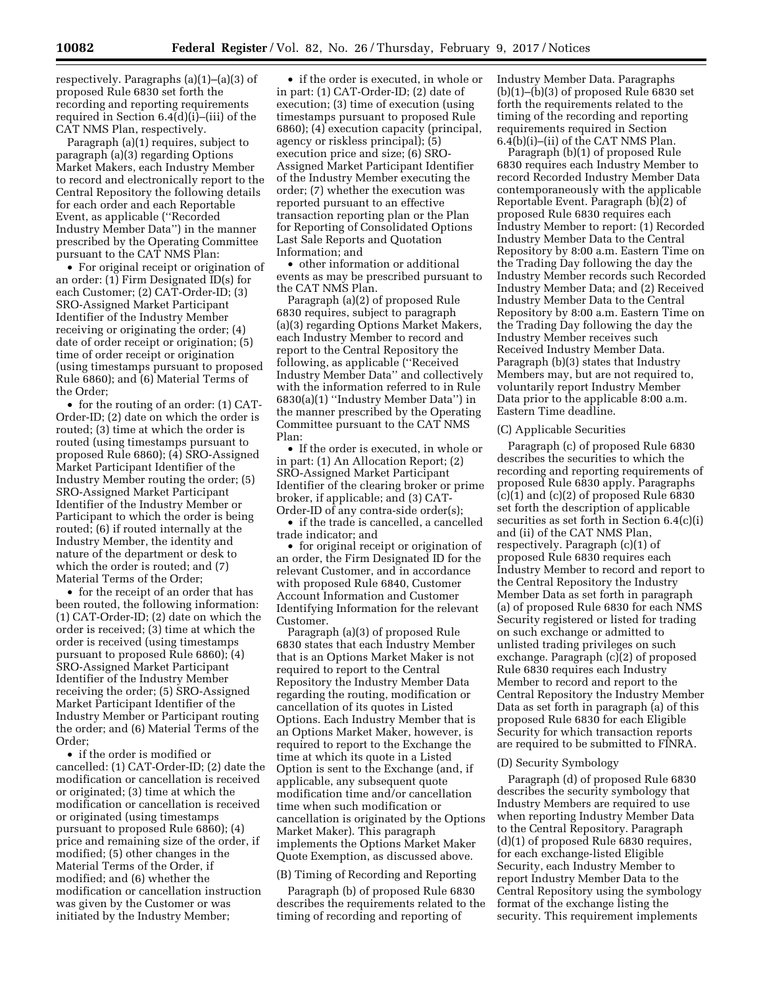respectively. Paragraphs (a)(1)–(a)(3) of proposed Rule 6830 set forth the recording and reporting requirements required in Section 6.4(d)(i)–(iii) of the CAT NMS Plan, respectively.

Paragraph (a)(1) requires, subject to paragraph (a)(3) regarding Options Market Makers, each Industry Member to record and electronically report to the Central Repository the following details for each order and each Reportable Event, as applicable (''Recorded Industry Member Data'') in the manner prescribed by the Operating Committee pursuant to the CAT NMS Plan:

• For original receipt or origination of an order: (1) Firm Designated ID(s) for each Customer; (2) CAT-Order-ID; (3) SRO-Assigned Market Participant Identifier of the Industry Member receiving or originating the order; (4) date of order receipt or origination; (5) time of order receipt or origination (using timestamps pursuant to proposed Rule 6860); and (6) Material Terms of the Order;

• for the routing of an order: (1) CAT-Order-ID; (2) date on which the order is routed; (3) time at which the order is routed (using timestamps pursuant to proposed Rule 6860); (4) SRO-Assigned Market Participant Identifier of the Industry Member routing the order; (5) SRO-Assigned Market Participant Identifier of the Industry Member or Participant to which the order is being routed; (6) if routed internally at the Industry Member, the identity and nature of the department or desk to which the order is routed; and (7) Material Terms of the Order;

• for the receipt of an order that has been routed, the following information: (1) CAT-Order-ID; (2) date on which the order is received; (3) time at which the order is received (using timestamps pursuant to proposed Rule 6860); (4) SRO-Assigned Market Participant Identifier of the Industry Member receiving the order; (5) SRO-Assigned Market Participant Identifier of the Industry Member or Participant routing the order; and (6) Material Terms of the Order;

• if the order is modified or cancelled: (1) CAT-Order-ID; (2) date the modification or cancellation is received or originated; (3) time at which the modification or cancellation is received or originated (using timestamps pursuant to proposed Rule 6860); (4) price and remaining size of the order, if modified; (5) other changes in the Material Terms of the Order, if modified; and (6) whether the modification or cancellation instruction was given by the Customer or was initiated by the Industry Member;

• if the order is executed, in whole or in part: (1) CAT-Order-ID; (2) date of execution; (3) time of execution (using timestamps pursuant to proposed Rule 6860); (4) execution capacity (principal, agency or riskless principal); (5) execution price and size; (6) SRO-Assigned Market Participant Identifier of the Industry Member executing the order; (7) whether the execution was reported pursuant to an effective transaction reporting plan or the Plan for Reporting of Consolidated Options Last Sale Reports and Quotation Information; and

• other information or additional events as may be prescribed pursuant to the CAT NMS Plan.

Paragraph (a)(2) of proposed Rule 6830 requires, subject to paragraph (a)(3) regarding Options Market Makers, each Industry Member to record and report to the Central Repository the following, as applicable (''Received Industry Member Data'' and collectively with the information referred to in Rule 6830(a)(1) ''Industry Member Data'') in the manner prescribed by the Operating Committee pursuant to the CAT NMS Plan:

• If the order is executed, in whole or in part: (1) An Allocation Report; (2) SRO-Assigned Market Participant Identifier of the clearing broker or prime broker, if applicable; and (3) CAT-Order-ID of any contra-side order(s);

• if the trade is cancelled, a cancelled trade indicator; and

• for original receipt or origination of an order, the Firm Designated ID for the relevant Customer, and in accordance with proposed Rule 6840, Customer Account Information and Customer Identifying Information for the relevant Customer.

Paragraph (a)(3) of proposed Rule 6830 states that each Industry Member that is an Options Market Maker is not required to report to the Central Repository the Industry Member Data regarding the routing, modification or cancellation of its quotes in Listed Options. Each Industry Member that is an Options Market Maker, however, is required to report to the Exchange the time at which its quote in a Listed Option is sent to the Exchange (and, if applicable, any subsequent quote modification time and/or cancellation time when such modification or cancellation is originated by the Options Market Maker). This paragraph implements the Options Market Maker Quote Exemption, as discussed above.

### (B) Timing of Recording and Reporting

Paragraph (b) of proposed Rule 6830 describes the requirements related to the timing of recording and reporting of

Industry Member Data. Paragraphs  $(b)(1)$ – $(b)(3)$  of proposed Rule 6830 set forth the requirements related to the timing of the recording and reporting requirements required in Section 6.4(b)(i)–(ii) of the CAT NMS Plan.

Paragraph (b)(1) of proposed Rule 6830 requires each Industry Member to record Recorded Industry Member Data contemporaneously with the applicable Reportable Event. Paragraph (b)(2) of proposed Rule 6830 requires each Industry Member to report: (1) Recorded Industry Member Data to the Central Repository by 8:00 a.m. Eastern Time on the Trading Day following the day the Industry Member records such Recorded Industry Member Data; and (2) Received Industry Member Data to the Central Repository by 8:00 a.m. Eastern Time on the Trading Day following the day the Industry Member receives such Received Industry Member Data. Paragraph (b)(3) states that Industry Members may, but are not required to, voluntarily report Industry Member Data prior to the applicable 8:00 a.m. Eastern Time deadline.

### (C) Applicable Securities

Paragraph (c) of proposed Rule 6830 describes the securities to which the recording and reporting requirements of proposed Rule 6830 apply. Paragraphs  $(c)(1)$  and  $(c)(2)$  of proposed Rule 6830 set forth the description of applicable securities as set forth in Section 6.4(c)(i) and (ii) of the CAT NMS Plan, respectively. Paragraph (c)(1) of proposed Rule 6830 requires each Industry Member to record and report to the Central Repository the Industry Member Data as set forth in paragraph (a) of proposed Rule 6830 for each NMS Security registered or listed for trading on such exchange or admitted to unlisted trading privileges on such exchange. Paragraph (c)(2) of proposed Rule 6830 requires each Industry Member to record and report to the Central Repository the Industry Member Data as set forth in paragraph (a) of this proposed Rule 6830 for each Eligible Security for which transaction reports are required to be submitted to FINRA.

#### (D) Security Symbology

Paragraph (d) of proposed Rule 6830 describes the security symbology that Industry Members are required to use when reporting Industry Member Data to the Central Repository. Paragraph (d)(1) of proposed Rule 6830 requires, for each exchange-listed Eligible Security, each Industry Member to report Industry Member Data to the Central Repository using the symbology format of the exchange listing the security. This requirement implements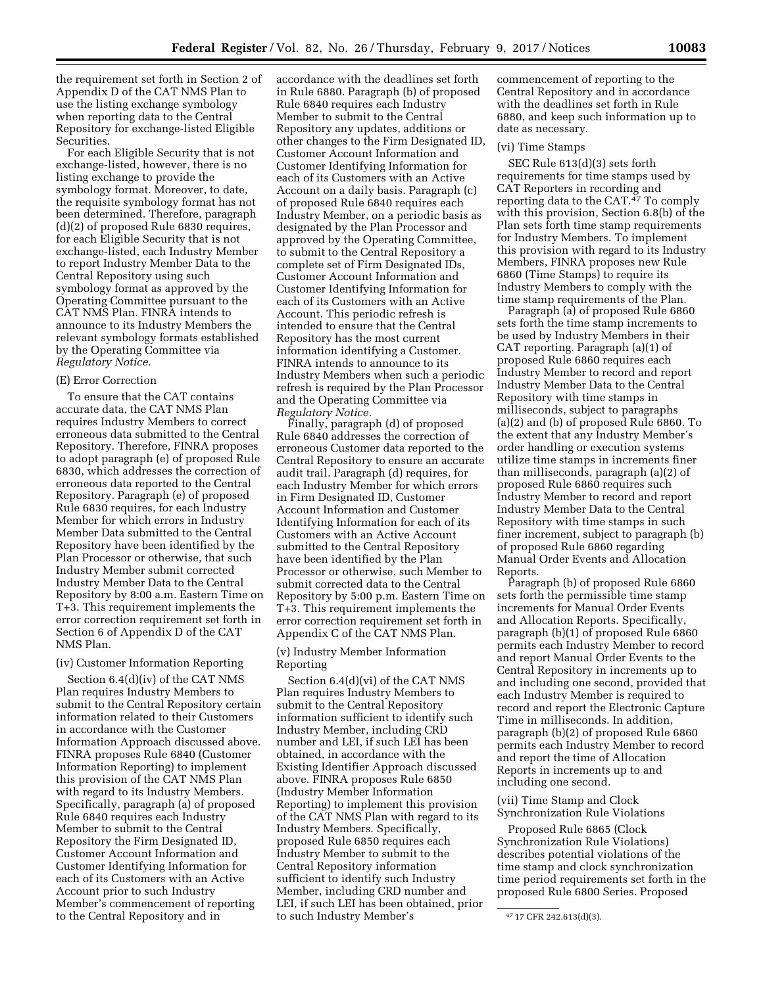the requirement set forth in Section 2 of Appendix D of the CAT NMS Plan to use the listing exchange symbology when reporting data to the Central Repository for exchange-listed Eligible Securities.

For each Eligible Security that is not exchange-listed, however, there is no listing exchange to provide the symbology format. Moreover, to date, the requisite symbology format has not been determined. Therefore, paragraph (d)(2) of proposed Rule 6830 requires, for each Eligible Security that is not exchange-listed, each Industry Member to report Industry Member Data to the Central Repository using such symbology format as approved by the Operating Committee pursuant to the CAT NMS Plan. FINRA intends to announce to its Industry Members the relevant symbology formats established by the Operating Committee via *Regulatory Notice.* 

## (E) Error Correction

To ensure that the CAT contains accurate data, the CAT NMS Plan requires Industry Members to correct erroneous data submitted to the Central Repository. Therefore, FINRA proposes to adopt paragraph (e) of proposed Rule 6830, which addresses the correction of erroneous data reported to the Central Repository. Paragraph (e) of proposed Rule 6830 requires, for each Industry Member for which errors in Industry Member Data submitted to the Central Repository have been identified by the Plan Processor or otherwise, that such Industry Member submit corrected Industry Member Data to the Central Repository by 8:00 a.m. Eastern Time on T+3. This requirement implements the error correction requirement set forth in Section 6 of Appendix D of the CAT NMS Plan.

## (iv) Customer Information Reporting

Section 6.4(d)(iv) of the CAT NMS Plan requires Industry Members to submit to the Central Repository certain information related to their Customers in accordance with the Customer Information Approach discussed above. FINRA proposes Rule 6840 (Customer Information Reporting) to implement this provision of the CAT NMS Plan with regard to its Industry Members. Specifically, paragraph (a) of proposed Rule 6840 requires each Industry Member to submit to the Central Repository the Firm Designated ID, Customer Account Information and Customer Identifying Information for each of its Customers with an Active Account prior to such Industry Member's commencement of reporting to the Central Repository and in

accordance with the deadlines set forth in Rule 6880. Paragraph (b) of proposed Rule 6840 requires each Industry Member to submit to the Central Repository any updates, additions or other changes to the Firm Designated ID, Customer Account Information and Customer Identifying Information for each of its Customers with an Active Account on a daily basis. Paragraph (c) of proposed Rule 6840 requires each Industry Member, on a periodic basis as designated by the Plan Processor and approved by the Operating Committee, to submit to the Central Repository a complete set of Firm Designated IDs, Customer Account Information and Customer Identifying Information for each of its Customers with an Active Account. This periodic refresh is intended to ensure that the Central Repository has the most current information identifying a Customer. FINRA intends to announce to its Industry Members when such a periodic refresh is required by the Plan Processor and the Operating Committee via *Regulatory Notice.* 

Finally, paragraph (d) of proposed Rule 6840 addresses the correction of erroneous Customer data reported to the Central Repository to ensure an accurate audit trail. Paragraph (d) requires, for each Industry Member for which errors in Firm Designated ID, Customer Account Information and Customer Identifying Information for each of its Customers with an Active Account submitted to the Central Repository have been identified by the Plan Processor or otherwise, such Member to submit corrected data to the Central Repository by 5:00 p.m. Eastern Time on T+3. This requirement implements the error correction requirement set forth in Appendix C of the CAT NMS Plan.

### (v) Industry Member Information Reporting

Section 6.4(d)(vi) of the CAT NMS Plan requires Industry Members to submit to the Central Repository information sufficient to identify such Industry Member, including CRD number and LEI, if such LEI has been obtained, in accordance with the Existing Identifier Approach discussed above. FINRA proposes Rule 6850 (Industry Member Information Reporting) to implement this provision of the CAT NMS Plan with regard to its Industry Members. Specifically, proposed Rule 6850 requires each Industry Member to submit to the Central Repository information sufficient to identify such Industry Member, including CRD number and LEI, if such LEI has been obtained, prior to such Industry Member's

commencement of reporting to the Central Repository and in accordance with the deadlines set forth in Rule 6880, and keep such information up to date as necessary.

### (vi) Time Stamps

SEC Rule 613(d)(3) sets forth requirements for time stamps used by CAT Reporters in recording and reporting data to the CAT.47 To comply with this provision, Section 6.8(b) of the Plan sets forth time stamp requirements for Industry Members. To implement this provision with regard to its Industry Members, FINRA proposes new Rule 6860 (Time Stamps) to require its Industry Members to comply with the time stamp requirements of the Plan.

Paragraph (a) of proposed Rule 6860 sets forth the time stamp increments to be used by Industry Members in their CAT reporting. Paragraph (a)(1) of proposed Rule 6860 requires each Industry Member to record and report Industry Member Data to the Central Repository with time stamps in milliseconds, subject to paragraphs (a)(2) and (b) of proposed Rule 6860. To the extent that any Industry Member's order handling or execution systems utilize time stamps in increments finer than milliseconds, paragraph (a)(2) of proposed Rule 6860 requires such Industry Member to record and report Industry Member Data to the Central Repository with time stamps in such finer increment, subject to paragraph (b) of proposed Rule 6860 regarding Manual Order Events and Allocation Reports.

Paragraph (b) of proposed Rule 6860 sets forth the permissible time stamp increments for Manual Order Events and Allocation Reports. Specifically, paragraph (b)(1) of proposed Rule 6860 permits each Industry Member to record and report Manual Order Events to the Central Repository in increments up to and including one second, provided that each Industry Member is required to record and report the Electronic Capture Time in milliseconds. In addition, paragraph (b)(2) of proposed Rule 6860 permits each Industry Member to record and report the time of Allocation Reports in increments up to and including one second.

(vii) Time Stamp and Clock Synchronization Rule Violations

Proposed Rule 6865 (Clock Synchronization Rule Violations) describes potential violations of the time stamp and clock synchronization time period requirements set forth in the proposed Rule 6800 Series. Proposed

<sup>47</sup> 17 CFR 242.613(d)(3).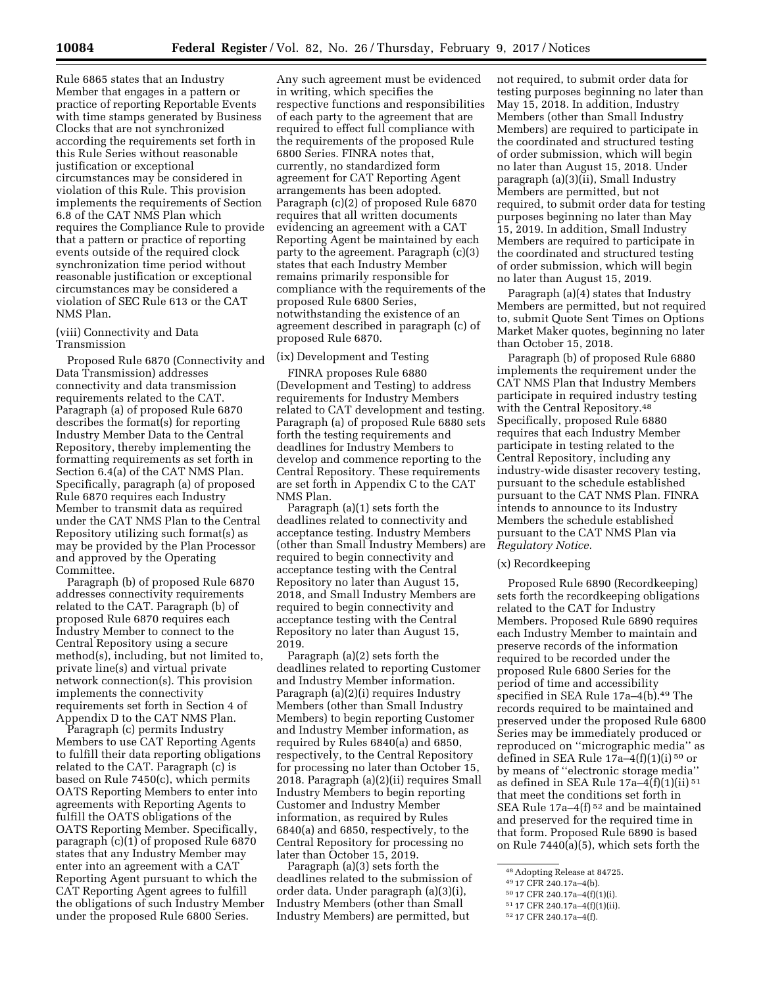Rule 6865 states that an Industry Member that engages in a pattern or practice of reporting Reportable Events with time stamps generated by Business Clocks that are not synchronized according the requirements set forth in this Rule Series without reasonable justification or exceptional circumstances may be considered in violation of this Rule. This provision implements the requirements of Section 6.8 of the CAT NMS Plan which requires the Compliance Rule to provide that a pattern or practice of reporting events outside of the required clock synchronization time period without reasonable justification or exceptional circumstances may be considered a violation of SEC Rule 613 or the CAT NMS Plan.

### (viii) Connectivity and Data Transmission

Proposed Rule 6870 (Connectivity and Data Transmission) addresses connectivity and data transmission requirements related to the CAT. Paragraph (a) of proposed Rule 6870 describes the format(s) for reporting Industry Member Data to the Central Repository, thereby implementing the formatting requirements as set forth in Section 6.4(a) of the CAT NMS Plan. Specifically, paragraph (a) of proposed Rule 6870 requires each Industry Member to transmit data as required under the CAT NMS Plan to the Central Repository utilizing such format(s) as may be provided by the Plan Processor and approved by the Operating Committee.

Paragraph (b) of proposed Rule 6870 addresses connectivity requirements related to the CAT. Paragraph (b) of proposed Rule 6870 requires each Industry Member to connect to the Central Repository using a secure method(s), including, but not limited to, private line(s) and virtual private network connection(s). This provision implements the connectivity requirements set forth in Section 4 of Appendix D to the CAT NMS Plan.

Paragraph (c) permits Industry Members to use CAT Reporting Agents to fulfill their data reporting obligations related to the CAT. Paragraph (c) is based on Rule 7450(c), which permits OATS Reporting Members to enter into agreements with Reporting Agents to fulfill the OATS obligations of the OATS Reporting Member. Specifically, paragraph (c)(1) of proposed Rule 6870 states that any Industry Member may enter into an agreement with a CAT Reporting Agent pursuant to which the CAT Reporting Agent agrees to fulfill the obligations of such Industry Member under the proposed Rule 6800 Series.

Any such agreement must be evidenced in writing, which specifies the respective functions and responsibilities of each party to the agreement that are required to effect full compliance with the requirements of the proposed Rule 6800 Series. FINRA notes that, currently, no standardized form agreement for CAT Reporting Agent arrangements has been adopted. Paragraph (c)(2) of proposed Rule 6870 requires that all written documents evidencing an agreement with a CAT Reporting Agent be maintained by each party to the agreement. Paragraph (c)(3) states that each Industry Member remains primarily responsible for compliance with the requirements of the proposed Rule 6800 Series, notwithstanding the existence of an agreement described in paragraph (c) of proposed Rule 6870.

#### (ix) Development and Testing

FINRA proposes Rule 6880 (Development and Testing) to address requirements for Industry Members related to CAT development and testing. Paragraph (a) of proposed Rule 6880 sets forth the testing requirements and deadlines for Industry Members to develop and commence reporting to the Central Repository. These requirements are set forth in Appendix C to the CAT NMS Plan.

Paragraph (a)(1) sets forth the deadlines related to connectivity and acceptance testing. Industry Members (other than Small Industry Members) are required to begin connectivity and acceptance testing with the Central Repository no later than August 15, 2018, and Small Industry Members are required to begin connectivity and acceptance testing with the Central Repository no later than August 15, 2019.

Paragraph (a)(2) sets forth the deadlines related to reporting Customer and Industry Member information. Paragraph (a)(2)(i) requires Industry Members (other than Small Industry Members) to begin reporting Customer and Industry Member information, as required by Rules 6840(a) and 6850, respectively, to the Central Repository for processing no later than October 15, 2018. Paragraph (a)(2)(ii) requires Small Industry Members to begin reporting Customer and Industry Member information, as required by Rules 6840(a) and 6850, respectively, to the Central Repository for processing no later than October 15, 2019.

Paragraph (a)(3) sets forth the deadlines related to the submission of order data. Under paragraph (a)(3)(i), Industry Members (other than Small Industry Members) are permitted, but

not required, to submit order data for testing purposes beginning no later than May 15, 2018. In addition, Industry Members (other than Small Industry Members) are required to participate in the coordinated and structured testing of order submission, which will begin no later than August 15, 2018. Under paragraph (a)(3)(ii), Small Industry Members are permitted, but not required, to submit order data for testing purposes beginning no later than May 15, 2019. In addition, Small Industry Members are required to participate in the coordinated and structured testing of order submission, which will begin no later than August 15, 2019.

Paragraph (a)(4) states that Industry Members are permitted, but not required to, submit Quote Sent Times on Options Market Maker quotes, beginning no later than October 15, 2018.

Paragraph (b) of proposed Rule 6880 implements the requirement under the CAT NMS Plan that Industry Members participate in required industry testing with the Central Repository.48 Specifically, proposed Rule 6880 requires that each Industry Member participate in testing related to the Central Repository, including any industry-wide disaster recovery testing, pursuant to the schedule established pursuant to the CAT NMS Plan. FINRA intends to announce to its Industry Members the schedule established pursuant to the CAT NMS Plan via *Regulatory Notice.* 

#### (x) Recordkeeping

Proposed Rule 6890 (Recordkeeping) sets forth the recordkeeping obligations related to the CAT for Industry Members. Proposed Rule 6890 requires each Industry Member to maintain and preserve records of the information required to be recorded under the proposed Rule 6800 Series for the period of time and accessibility specified in SEA Rule 17a-4(b).<sup>49</sup> The records required to be maintained and preserved under the proposed Rule 6800 Series may be immediately produced or reproduced on ''micrographic media'' as defined in SEA Rule 17a–4(f)(1)(i) 50 or by means of ''electronic storage media'' as defined in SEA Rule 17a–4(f)(1)(ii) 51 that meet the conditions set forth in SEA Rule 17a–4(f) 52 and be maintained and preserved for the required time in that form. Proposed Rule 6890 is based on Rule 7440(a)(5), which sets forth the

52 17 CFR 240.17a–4(f).

<sup>48</sup>Adopting Release at 84725.

<sup>49</sup> 17 CFR 240.17a–4(b).

<sup>50</sup> 17 CFR 240.17a–4(f)(1)(i).

<sup>51</sup> 17 CFR 240.17a–4(f)(1)(ii).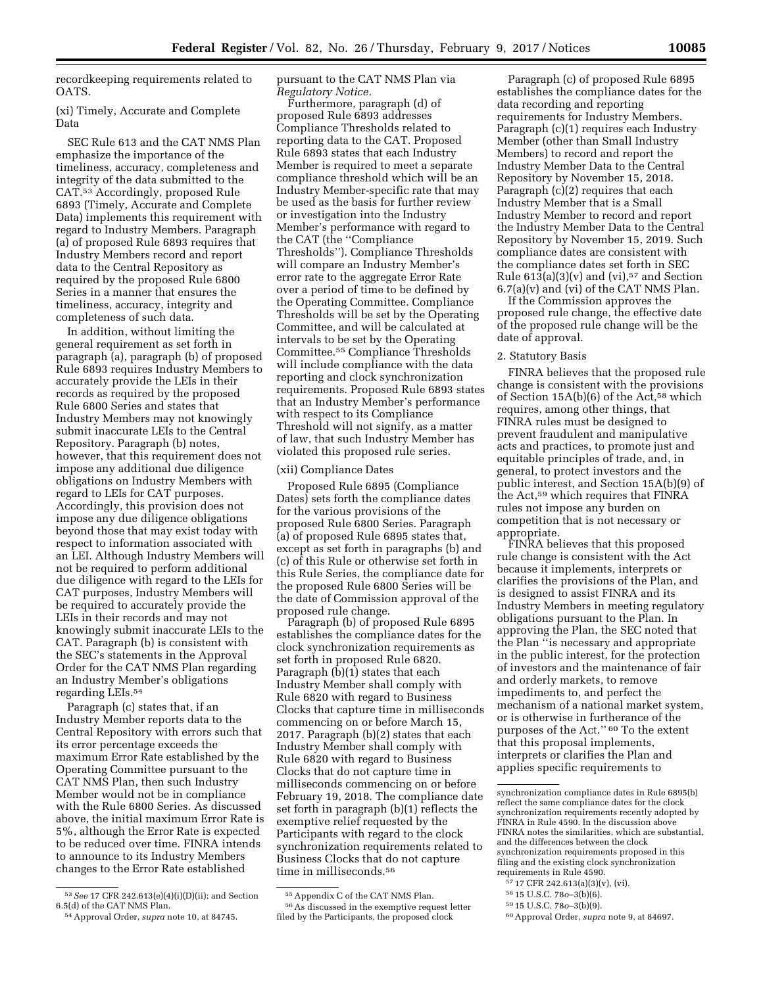recordkeeping requirements related to OATS.

(xi) Timely, Accurate and Complete Data

SEC Rule 613 and the CAT NMS Plan emphasize the importance of the timeliness, accuracy, completeness and integrity of the data submitted to the CAT.53 Accordingly, proposed Rule 6893 (Timely, Accurate and Complete Data) implements this requirement with regard to Industry Members. Paragraph (a) of proposed Rule 6893 requires that Industry Members record and report data to the Central Repository as required by the proposed Rule 6800 Series in a manner that ensures the timeliness, accuracy, integrity and completeness of such data.

In addition, without limiting the general requirement as set forth in paragraph (a), paragraph (b) of proposed Rule 6893 requires Industry Members to accurately provide the LEIs in their records as required by the proposed Rule 6800 Series and states that Industry Members may not knowingly submit inaccurate LEIs to the Central Repository. Paragraph (b) notes, however, that this requirement does not impose any additional due diligence obligations on Industry Members with regard to LEIs for CAT purposes. Accordingly, this provision does not impose any due diligence obligations beyond those that may exist today with respect to information associated with an LEI. Although Industry Members will not be required to perform additional due diligence with regard to the LEIs for CAT purposes, Industry Members will be required to accurately provide the LEIs in their records and may not knowingly submit inaccurate LEIs to the CAT. Paragraph (b) is consistent with the SEC's statements in the Approval Order for the CAT NMS Plan regarding an Industry Member's obligations regarding LEIs.54

Paragraph (c) states that, if an Industry Member reports data to the Central Repository with errors such that its error percentage exceeds the maximum Error Rate established by the Operating Committee pursuant to the CAT NMS Plan, then such Industry Member would not be in compliance with the Rule 6800 Series. As discussed above, the initial maximum Error Rate is 5%, although the Error Rate is expected to be reduced over time. FINRA intends to announce to its Industry Members changes to the Error Rate established

pursuant to the CAT NMS Plan via *Regulatory Notice.* 

Furthermore, paragraph (d) of proposed Rule 6893 addresses Compliance Thresholds related to reporting data to the CAT. Proposed Rule 6893 states that each Industry Member is required to meet a separate compliance threshold which will be an Industry Member-specific rate that may be used as the basis for further review or investigation into the Industry Member's performance with regard to the CAT (the ''Compliance Thresholds''). Compliance Thresholds will compare an Industry Member's error rate to the aggregate Error Rate over a period of time to be defined by the Operating Committee. Compliance Thresholds will be set by the Operating Committee, and will be calculated at intervals to be set by the Operating Committee.55 Compliance Thresholds will include compliance with the data reporting and clock synchronization requirements. Proposed Rule 6893 states that an Industry Member's performance with respect to its Compliance Threshold will not signify, as a matter of law, that such Industry Member has violated this proposed rule series.

#### (xii) Compliance Dates

Proposed Rule 6895 (Compliance Dates) sets forth the compliance dates for the various provisions of the proposed Rule 6800 Series. Paragraph (a) of proposed Rule 6895 states that, except as set forth in paragraphs (b) and (c) of this Rule or otherwise set forth in this Rule Series, the compliance date for the proposed Rule 6800 Series will be the date of Commission approval of the proposed rule change.

Paragraph (b) of proposed Rule 6895 establishes the compliance dates for the clock synchronization requirements as set forth in proposed Rule 6820. Paragraph (b)(1) states that each Industry Member shall comply with Rule 6820 with regard to Business Clocks that capture time in milliseconds commencing on or before March 15, 2017. Paragraph (b)(2) states that each Industry Member shall comply with Rule 6820 with regard to Business Clocks that do not capture time in milliseconds commencing on or before February 19, 2018. The compliance date set forth in paragraph (b)(1) reflects the exemptive relief requested by the Participants with regard to the clock synchronization requirements related to Business Clocks that do not capture time in milliseconds.<sup>56</sup>

filed by the Participants, the proposed clock

Paragraph (c) of proposed Rule 6895 establishes the compliance dates for the data recording and reporting requirements for Industry Members. Paragraph (c)(1) requires each Industry Member (other than Small Industry Members) to record and report the Industry Member Data to the Central Repository by November 15, 2018. Paragraph (c)(2) requires that each Industry Member that is a Small Industry Member to record and report the Industry Member Data to the Central Repository by November 15, 2019. Such compliance dates are consistent with the compliance dates set forth in SEC Rule  $613(a)(3)(v)$  and  $(vi),$ <sup>57</sup> and Section 6.7(a)(v) and (vi) of the CAT NMS Plan.

If the Commission approves the proposed rule change, the effective date of the proposed rule change will be the date of approval.

#### 2. Statutory Basis

FINRA believes that the proposed rule change is consistent with the provisions of Section  $15A(b)(6)$  of the Act,<sup>58</sup> which requires, among other things, that FINRA rules must be designed to prevent fraudulent and manipulative acts and practices, to promote just and equitable principles of trade, and, in general, to protect investors and the public interest, and Section 15A(b)(9) of the Act,59 which requires that FINRA rules not impose any burden on competition that is not necessary or appropriate.

FINRA believes that this proposed rule change is consistent with the Act because it implements, interprets or clarifies the provisions of the Plan, and is designed to assist FINRA and its Industry Members in meeting regulatory obligations pursuant to the Plan. In approving the Plan, the SEC noted that the Plan ''is necessary and appropriate in the public interest, for the protection of investors and the maintenance of fair and orderly markets, to remove impediments to, and perfect the mechanism of a national market system, or is otherwise in furtherance of the purposes of the Act.'' 60 To the extent that this proposal implements, interprets or clarifies the Plan and applies specific requirements to

- 57 17 CFR 242.613(a)(3)(v), (vi).
- 58 15 U.S.C. 78*o*–3(b)(6).

<sup>53</sup>*See* 17 CFR 242.613(e)(4)(i)(D)(ii); and Section 6.5(d) of the CAT NMS Plan.

<sup>54</sup>Approval Order, *supra* note 10, at 84745.

<sup>55</sup>Appendix C of the CAT NMS Plan. 56As discussed in the exemptive request letter

synchronization compliance dates in Rule 6895(b) reflect the same compliance dates for the clock synchronization requirements recently adopted by FINRA in Rule 4590. In the discussion above FINRA notes the similarities, which are substantial, and the differences between the clock synchronization requirements proposed in this filing and the existing clock synchronization requirements in Rule 4590.

<sup>59</sup> 15 U.S.C. 78*o*–3(b)(9).

<sup>60</sup>Approval Order, *supra* note 9, at 84697.